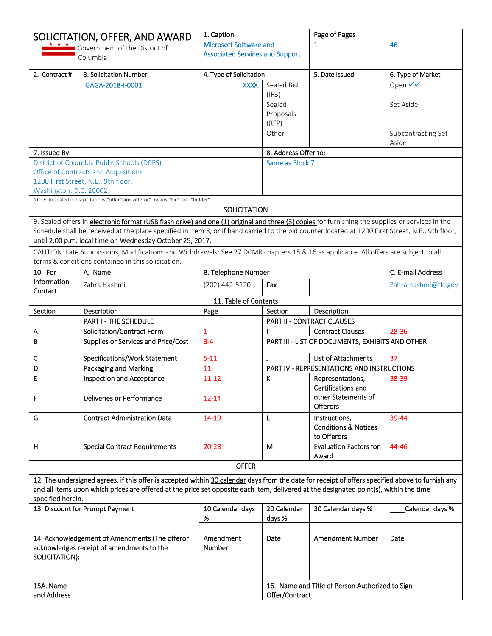|                          | SOLICITATION, OFFER, AND AWARD                                                                                                                                                                                                                                                             |                                        | 1. Caption           |                                                   | Page of Pages       |  |
|--------------------------|--------------------------------------------------------------------------------------------------------------------------------------------------------------------------------------------------------------------------------------------------------------------------------------------|----------------------------------------|----------------------|---------------------------------------------------|---------------------|--|
|                          | Government of the District of                                                                                                                                                                                                                                                              | <b>Microsoft Software and</b>          |                      | $\mathbf{1}$                                      | 46                  |  |
|                          | Columbia                                                                                                                                                                                                                                                                                   | <b>Associated Services and Support</b> |                      |                                                   |                     |  |
|                          |                                                                                                                                                                                                                                                                                            |                                        |                      |                                                   |                     |  |
| 2. Contract #            | 3. Solicitation Number                                                                                                                                                                                                                                                                     | 4. Type of Solicitation                |                      | 5. Date Issued                                    | 6. Type of Market   |  |
|                          | GAGA-2018-I-0001                                                                                                                                                                                                                                                                           | <b>XXXX</b>                            | Sealed Bid<br>(IFB)  |                                                   | Open √√             |  |
|                          |                                                                                                                                                                                                                                                                                            |                                        | Sealed               |                                                   | Set Aside           |  |
|                          |                                                                                                                                                                                                                                                                                            |                                        | Proposals<br>(RFP)   |                                                   |                     |  |
|                          |                                                                                                                                                                                                                                                                                            |                                        | Other                |                                                   | Subcontracting Set  |  |
|                          |                                                                                                                                                                                                                                                                                            |                                        |                      |                                                   | Aside               |  |
| 7. Issued By:            |                                                                                                                                                                                                                                                                                            |                                        | 8. Address Offer to: |                                                   |                     |  |
|                          | District of Columbia Public Schools (DCPS)                                                                                                                                                                                                                                                 |                                        | Same as Block 7      |                                                   |                     |  |
|                          | Office of Contracts and Acquisitions                                                                                                                                                                                                                                                       |                                        |                      |                                                   |                     |  |
| Washington, D.C. 20002   | 1200 First Street, N.E., 9th floor,                                                                                                                                                                                                                                                        |                                        |                      |                                                   |                     |  |
|                          | NOTE: In sealed bid solicitations "offer" and offeror" means "bid" and "bidder"                                                                                                                                                                                                            |                                        |                      |                                                   |                     |  |
|                          |                                                                                                                                                                                                                                                                                            | <b>SOLICITATION</b>                    |                      |                                                   |                     |  |
|                          | 9. Sealed offers in <i>electronic format (USB flash drive) and one (1) original and three (3) copies</i> for furnishing the supplies or services in the                                                                                                                                    |                                        |                      |                                                   |                     |  |
|                          | Schedule shall be received at the place specified in Item 8, or if hand carried to the bid counter located at 1200 First Street, N.E., 9th floor,                                                                                                                                          |                                        |                      |                                                   |                     |  |
|                          | until 2:00 p.m. local time on Wednesday October 25, 2017.                                                                                                                                                                                                                                  |                                        |                      |                                                   |                     |  |
|                          | CAUTION: Late Submissions, Modifications and Withdrawals: See 27 DCMR chapters 15 & 16 as applicable. All offers are subject to all<br>terms & conditions contained in this solicitation.                                                                                                  |                                        |                      |                                                   |                     |  |
| 10. For                  | A. Name                                                                                                                                                                                                                                                                                    | <b>B. Telephone Number</b>             |                      |                                                   | C. E-mail Address   |  |
| Information              | Zahra Hashmi                                                                                                                                                                                                                                                                               | (202) 442-5120                         | Fax                  |                                                   | Zahra.hashmi@dc.gov |  |
| Contact                  |                                                                                                                                                                                                                                                                                            |                                        |                      |                                                   |                     |  |
|                          |                                                                                                                                                                                                                                                                                            | 11. Table of Contents                  |                      |                                                   |                     |  |
| Section                  | Description                                                                                                                                                                                                                                                                                | Page                                   | Section              | Description                                       |                     |  |
|                          | PART I - THE SCHEDULE                                                                                                                                                                                                                                                                      |                                        |                      | PART II - CONTRACT CLAUSES                        |                     |  |
| Α                        | Solicitation/Contract Form                                                                                                                                                                                                                                                                 | $\mathbf{1}$                           |                      | <b>Contract Clauses</b>                           | 28-36               |  |
| B                        | Supplies or Services and Price/Cost                                                                                                                                                                                                                                                        | $3 - 4$                                |                      | PART III - LIST OF DOCUMENTS, EXHIBITS AND OTHER  |                     |  |
| c                        | Specifications/Work Statement                                                                                                                                                                                                                                                              | $5 - 11$                               | $\mathbf{J}$         | List of Attachments                               | 37                  |  |
| D                        |                                                                                                                                                                                                                                                                                            | 11                                     |                      | <b>PART IV - REPRESENTATIONS AND INSTRUCTIONS</b> |                     |  |
|                          | Packaging and Marking                                                                                                                                                                                                                                                                      |                                        |                      |                                                   |                     |  |
| E                        | <b>Inspection and Acceptance</b>                                                                                                                                                                                                                                                           | $11 - 12$                              | K                    | Representations,<br>Certifications and            | 38-39               |  |
| F                        | Deliveries or Performance                                                                                                                                                                                                                                                                  | $12 - 14$                              |                      | other Statements of<br><b>Offerors</b>            |                     |  |
| G                        | <b>Contract Administration Data</b>                                                                                                                                                                                                                                                        | 14-19                                  | L                    | Instructions.                                     | 39-44               |  |
|                          |                                                                                                                                                                                                                                                                                            |                                        |                      | <b>Conditions &amp; Notices</b>                   |                     |  |
|                          |                                                                                                                                                                                                                                                                                            |                                        |                      | to Offerors                                       |                     |  |
| н                        | <b>Special Contract Requirements</b>                                                                                                                                                                                                                                                       | 20-28                                  | м                    | <b>Evaluation Factors for</b><br>Award            | 44-46               |  |
|                          |                                                                                                                                                                                                                                                                                            | <b>OFFER</b>                           |                      |                                                   |                     |  |
|                          |                                                                                                                                                                                                                                                                                            |                                        |                      |                                                   |                     |  |
|                          | 12. The undersigned agrees, if this offer is accepted within 30 calendar days from the date for receipt of offers specified above to furnish any<br>and all items upon which prices are offered at the price set opposite each item, delivered at the designated point(s), within the time |                                        |                      |                                                   |                     |  |
| specified herein.        |                                                                                                                                                                                                                                                                                            |                                        |                      |                                                   |                     |  |
|                          | 13. Discount for Prompt Payment                                                                                                                                                                                                                                                            | 10 Calendar days                       | 20 Calendar          | 30 Calendar days %                                | Calendar days %     |  |
|                          |                                                                                                                                                                                                                                                                                            | %                                      | days %               |                                                   |                     |  |
|                          |                                                                                                                                                                                                                                                                                            |                                        |                      |                                                   |                     |  |
| SOLICITATION):           | 14. Acknowledgement of Amendments (The offeror<br>acknowledges receipt of amendments to the                                                                                                                                                                                                | Amendment<br><b>Number</b>             | Date                 | <b>Amendment Number</b>                           | Date                |  |
|                          |                                                                                                                                                                                                                                                                                            |                                        |                      |                                                   |                     |  |
| 15A. Name<br>and Address |                                                                                                                                                                                                                                                                                            |                                        | Offer/Contract       | 16. Name and Title of Person Authorized to Sign   |                     |  |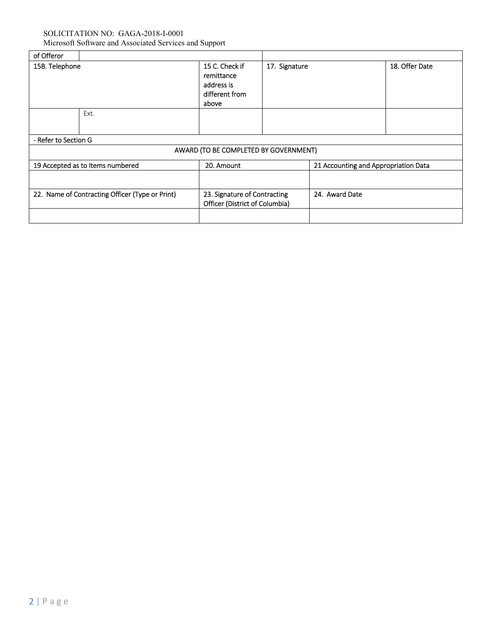| of Offeror                                      |      |                                                                       |               |                                      |                |
|-------------------------------------------------|------|-----------------------------------------------------------------------|---------------|--------------------------------------|----------------|
| 15B. Telephone                                  |      | 15 C. Check if<br>remittance<br>address is<br>different from<br>above | 17. Signature |                                      | 18. Offer Date |
|                                                 | Ext. |                                                                       |               |                                      |                |
| - Refer to Section G                            |      |                                                                       |               |                                      |                |
|                                                 |      | AWARD (TO BE COMPLETED BY GOVERNMENT)                                 |               |                                      |                |
| 19 Accepted as to Items numbered                |      | 20. Amount                                                            |               | 21 Accounting and Appropriation Data |                |
|                                                 |      |                                                                       |               |                                      |                |
| 22. Name of Contracting Officer (Type or Print) |      | 23. Signature of Contracting<br>Officer (District of Columbia)        |               | 24. Award Date                       |                |
|                                                 |      |                                                                       |               |                                      |                |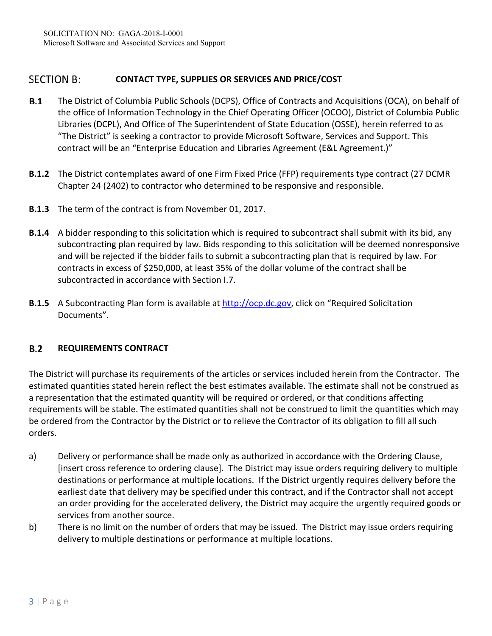## **SECTION B: CONTACT TYPE, SUPPLIES OR SERVICES AND PRICE/COST**

- $B.1$ The District of Columbia Public Schools (DCPS), Office of Contracts and Acquisitions (OCA), on behalf of the office of Information Technology in the Chief Operating Officer (OCOO), District of Columbia Public Libraries (DCPL), And Office of The Superintendent of State Education (OSSE), herein referred to as "The District" is seeking a contractor to provide Microsoft Software, Services and Support. This contract will be an "Enterprise Education and Libraries Agreement (E&L Agreement.)"
- **B.1.2** The District contemplates award of one Firm Fixed Price (FFP) requirements type contract (27 DCMR Chapter 24 (2402) to contractor who determined to be responsive and responsible.
- **B.1.3** The term of the contract is from November 01, 2017.
- **B.1.4** A bidder responding to this solicitation which is required to subcontract shall submit with its bid, any subcontracting plan required by law. Bids responding to this solicitation will be deemed nonresponsive and will be rejected if the bidder fails to submit a subcontracting plan that is required by law. For contracts in excess of \$250,000, at least 35% of the dollar volume of the contract shall be subcontracted in accordance with Section I.7.
- **B.1.5**  A Subcontracting Plan form is available at http://ocp.dc.gov, click on "Required Solicitation Documents".

## $B.2$ **REQUIREMENTS CONTRACT**

The District will purchase its requirements of the articles or services included herein from the Contractor. The estimated quantities stated herein reflect the best estimates available. The estimate shall not be construed as a representation that the estimated quantity will be required or ordered, or that conditions affecting requirements will be stable. The estimated quantities shall not be construed to limit the quantities which may be ordered from the Contractor by the District or to relieve the Contractor of its obligation to fill all such orders.

- a) Delivery or performance shall be made only as authorized in accordance with the Ordering Clause, [insert cross reference to ordering clause]. The District may issue orders requiring delivery to multiple destinations or performance at multiple locations. If the District urgently requires delivery before the earliest date that delivery may be specified under this contract, and if the Contractor shall not accept an order providing for the accelerated delivery, the District may acquire the urgently required goods or services from another source.
- b) There is no limit on the number of orders that may be issued. The District may issue orders requiring delivery to multiple destinations or performance at multiple locations.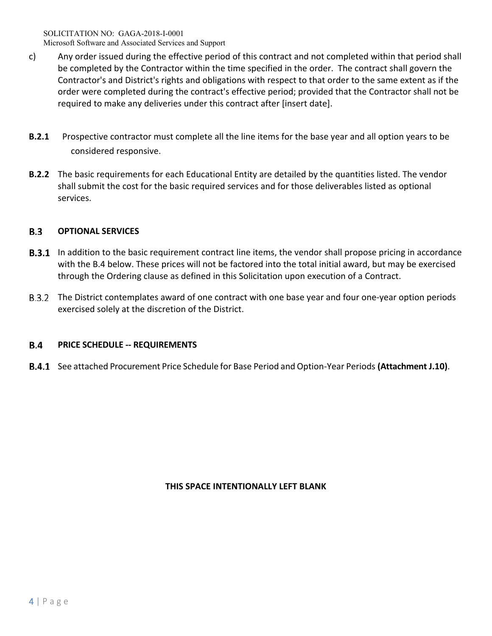- c) Any order issued during the effective period of this contract and not completed within that period shall be completed by the Contractor within the time specified in the order. The contract shall govern the Contractor's and District's rights and obligations with respect to that order to the same extent as if the order were completed during the contract's effective period; provided that the Contractor shall not be required to make any deliveries under this contract after [insert date].
- **B.2.1** Prospective contractor must complete all the line items for the base year and all option years to be considered responsive.
- **B.2.2**  The basic requirements for each Educational Entity are detailed by the quantities listed. The vendor shall submit the cost for the basic required services and for those deliverables listed as optional services.

## $B.3$ **OPTIONAL SERVICES**

- **B.3.1** In addition to the basic requirement contract line items, the vendor shall propose pricing in accordance with the B.4 below. These prices will not be factored into the total initial award, but may be exercised through the Ordering clause as defined in this Solicitation upon execution of a Contract.
- B.3.2 The District contemplates award of one contract with one base year and four one-year option periods exercised solely at the discretion of the District.

## **B.4 PRICE SCHEDULE ‐‐ REQUIREMENTS**

See attached Procurement Price Schedule for Base Period and Option‐Year Periods **(Attachment J.10)**.

## **THIS SPACE INTENTIONALLY LEFT BLANK**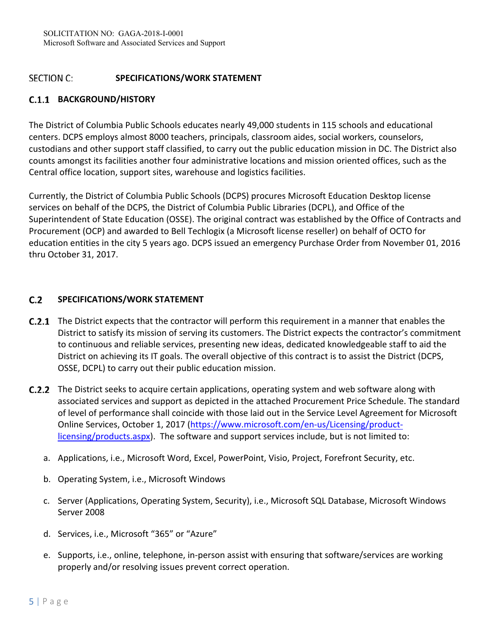## **SECTION C: SPECIFICATIONS/WORK STATEMENT**

# **BACKGROUND/HISTORY**

The District of Columbia Public Schools educates nearly 49,000 students in 115 schools and educational centers. DCPS employs almost 8000 teachers, principals, classroom aides, social workers, counselors, custodians and other support staff classified, to carry out the public education mission in DC. The District also counts amongst its facilities another four administrative locations and mission oriented offices, such as the Central office location, support sites, warehouse and logistics facilities.

Currently, the District of Columbia Public Schools (DCPS) procures Microsoft Education Desktop license services on behalf of the DCPS, the District of Columbia Public Libraries (DCPL), and Office of the Superintendent of State Education (OSSE). The original contract was established by the Office of Contracts and Procurement (OCP) and awarded to Bell Techlogix (a Microsoft license reseller) on behalf of OCTO for education entities in the city 5 years ago. DCPS issued an emergency Purchase Order from November 01, 2016 thru October 31, 2017.

## $C.2$ **SPECIFICATIONS/WORK STATEMENT**

- **C.2.1** The District expects that the contractor will perform this requirement in a manner that enables the District to satisfy its mission of serving its customers. The District expects the contractor's commitment to continuous and reliable services, presenting new ideas, dedicated knowledgeable staff to aid the District on achieving its IT goals. The overall objective of this contract is to assist the District (DCPS, OSSE, DCPL) to carry out their public education mission.
- **C.2.2** The District seeks to acquire certain applications, operating system and web software along with associated services and support as depicted in the attached Procurement Price Schedule. The standard of level of performance shall coincide with those laid out in the Service Level Agreement for Microsoft Online Services, October 1, 2017 (https://www.microsoft.com/en‐us/Licensing/product‐ licensing/products.aspx). The software and support services include, but is not limited to:
	- a. Applications, i.e., Microsoft Word, Excel, PowerPoint, Visio, Project, Forefront Security, etc.
	- b. Operating System, i.e., Microsoft Windows
	- c. Server (Applications, Operating System, Security), i.e., Microsoft SQL Database, Microsoft Windows Server 2008
	- d. Services, i.e., Microsoft "365" or "Azure"
	- e. Supports, i.e., online, telephone, in‐person assist with ensuring that software/services are working properly and/or resolving issues prevent correct operation.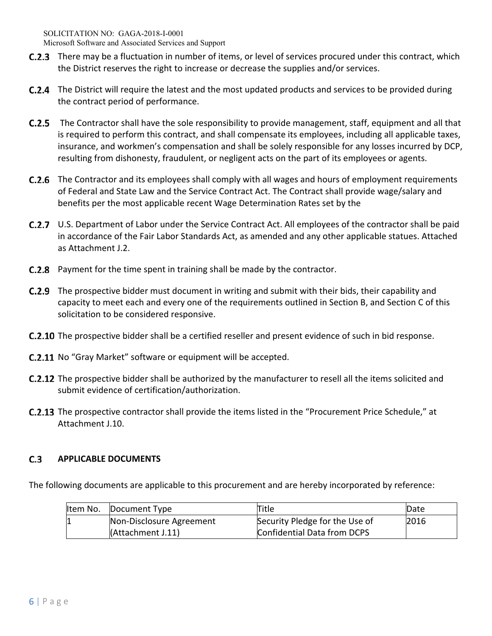- **C.2.3** There may be a fluctuation in number of items, or level of services procured under this contract, which the District reserves the right to increase or decrease the supplies and/or services.
- **C.2.4** The District will require the latest and the most updated products and services to be provided during the contract period of performance.
- **C.2.5** The Contractor shall have the sole responsibility to provide management, staff, equipment and all that is required to perform this contract, and shall compensate its employees, including all applicable taxes, insurance, and workmen's compensation and shall be solely responsible for any losses incurred by DCP, resulting from dishonesty, fraudulent, or negligent acts on the part of its employees or agents.
- **C.2.6** The Contractor and its employees shall comply with all wages and hours of employment requirements of Federal and State Law and the Service Contract Act. The Contract shall provide wage/salary and benefits per the most applicable recent Wage Determination Rates set by the
- U.S. Department of Labor under the Service Contract Act. All employees of the contractor shall be paid in accordance of the Fair Labor Standards Act, as amended and any other applicable statues. Attached as Attachment J.2.
- **C.2.8** Payment for the time spent in training shall be made by the contractor.
- **C.2.9** The prospective bidder must document in writing and submit with their bids, their capability and capacity to meet each and every one of the requirements outlined in Section B, and Section C of this solicitation to be considered responsive.
- **C.2.10** The prospective bidder shall be a certified reseller and present evidence of such in bid response.
- C.2.11 No "Gray Market" software or equipment will be accepted.
- **C.2.12** The prospective bidder shall be authorized by the manufacturer to resell all the items solicited and submit evidence of certification/authorization.
- The prospective contractor shall provide the items listed in the "Procurement Price Schedule," at Attachment J.10.

## $C.3$ **APPLICABLE DOCUMENTS**

The following documents are applicable to this procurement and are hereby incorporated by reference:

| Item No. | Document Type            | Title                          | Date |
|----------|--------------------------|--------------------------------|------|
|          | Non-Disclosure Agreement | Security Pledge for the Use of | 2016 |
|          | (Attachment J.11)        | Confidential Data from DCPS    |      |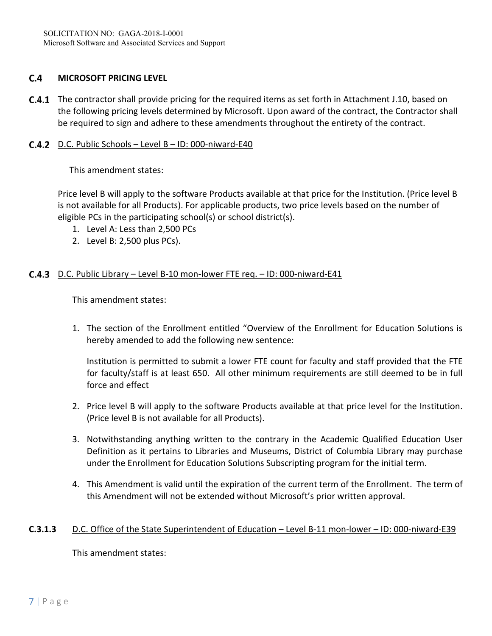## $C.4$ **MICROSOFT PRICING LEVEL**

**C.4.1** The contractor shall provide pricing for the required items as set forth in Attachment J.10, based on the following pricing levels determined by Microsoft. Upon award of the contract, the Contractor shall be required to sign and adhere to these amendments throughout the entirety of the contract.

## **C.4.2** D.C. Public Schools – Level B – ID: 000-niward-E40

This amendment states:

Price level B will apply to the software Products available at that price for the Institution. (Price level B is not available for all Products). For applicable products, two price levels based on the number of eligible PCs in the participating school(s) or school district(s).

- 1. Level A: Less than 2,500 PCs
- 2. Level B: 2,500 plus PCs).

## C.4.3 D.C. Public Library – Level B-10 mon-lower FTE req. – ID: 000-niward-E41

This amendment states:

1. The section of the Enrollment entitled "Overview of the Enrollment for Education Solutions is hereby amended to add the following new sentence:

Institution is permitted to submit a lower FTE count for faculty and staff provided that the FTE for faculty/staff is at least 650. All other minimum requirements are still deemed to be in full force and effect

- 2. Price level B will apply to the software Products available at that price level for the Institution. (Price level B is not available for all Products).
- 3. Notwithstanding anything written to the contrary in the Academic Qualified Education User Definition as it pertains to Libraries and Museums, District of Columbia Library may purchase under the Enrollment for Education Solutions Subscripting program for the initial term.
- 4. This Amendment is valid until the expiration of the current term of the Enrollment. The term of this Amendment will not be extended without Microsoft's prior written approval.

## **C.3.1.3**  D.C. Office of the State Superintendent of Education – Level B‐11 mon‐lower – ID: 000‐niward‐E39

This amendment states: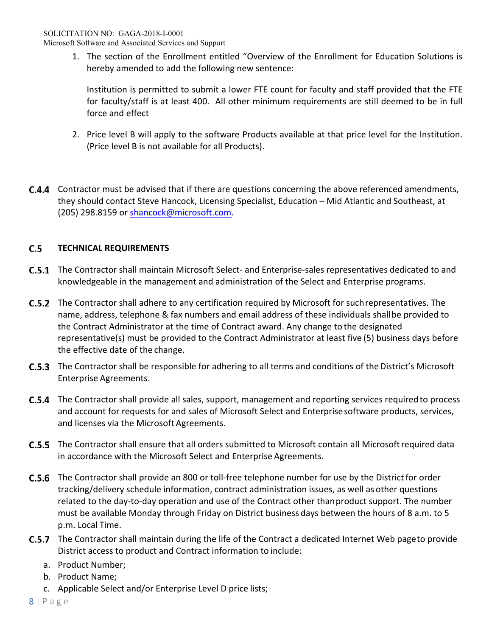Microsoft Software and Associated Services and Support

1. The section of the Enrollment entitled "Overview of the Enrollment for Education Solutions is hereby amended to add the following new sentence:

Institution is permitted to submit a lower FTE count for faculty and staff provided that the FTE for faculty/staff is at least 400. All other minimum requirements are still deemed to be in full force and effect

- 2. Price level B will apply to the software Products available at that price level for the Institution. (Price level B is not available for all Products).
- **C.4.4** Contractor must be advised that if there are questions concerning the above referenced amendments, they should contact Steve Hancock, Licensing Specialist, Education – Mid Atlantic and Southeast, at (205) 298.8159 or shancock@microsoft.com.

## $C.5$ **TECHNICAL REQUIREMENTS**

- The Contractor shall maintain Microsoft Select‐ and Enterprise‐sales representatives dedicated to and knowledgeable in the management and administration of the Select and Enterprise programs.
- **C.5.2** The Contractor shall adhere to any certification required by Microsoft for such representatives. The name, address, telephone & fax numbers and email address of these individuals shall be provided to the Contract Administrator at the time of Contract award. Any change to the designated representative(s) must be provided to the Contract Administrator at least five (5) business days before the effective date of the change.
- **C.5.3** The Contractor shall be responsible for adhering to all terms and conditions of the District's Microsoft Enterprise Agreements.
- The Contractor shall provide all sales, support, management and reporting services required to process and account for requests for and sales of Microsoft Select and Enterprise software products, services, and licenses via the Microsoft Agreements.
- The Contractor shall ensure that all orders submitted to Microsoft contain all Microsoft required data in accordance with the Microsoft Select and Enterprise Agreements.
- The Contractor shall provide an 800 or toll‐free telephone number for use by the District for order tracking/delivery schedule information, contract administration issues, as well as other questions related to the day‐to‐day operation and use of the Contract other than product support. The number must be available Monday through Friday on District business days between the hours of 8 a.m. to 5 p.m. Local Time.
- **C.5.7** The Contractor shall maintain during the life of the Contract a dedicated Internet Web page to provide District access to product and Contract information to include:
	- a. Product Number;
	- b. Product Name;
	- c. Applicable Select and/or Enterprise Level D price lists;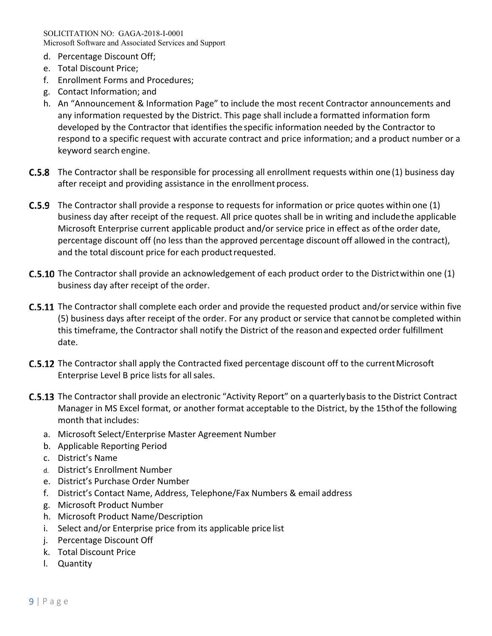SOLICITATION NO: GAGA-2018-I-0001 Microsoft Software and Associated Services and Support

- d. Percentage Discount Off;
- e. Total Discount Price;
- f. Enrollment Forms and Procedures;
- g. Contact Information; and
- h. An "Announcement & Information Page" to include the most recent Contractor announcements and any information requested by the District. This page shall include a formatted information form developed by the Contractor that identifies the specific information needed by the Contractor to respond to a specific request with accurate contract and price information; and a product number or a keyword search engine.
- **C.5.8** The Contractor shall be responsible for processing all enrollment requests within one (1) business day after receipt and providing assistance in the enrollment process.
- The Contractor shall provide a response to requests for information or price quotes within one (1) business day after receipt of the request. All price quotes shall be in writing and include the applicable Microsoft Enterprise current applicable product and/or service price in effect as of the order date, percentage discount off (no less than the approved percentage discount off allowed in the contract), and the total discount price for each product requested.
- **C.5.10** The Contractor shall provide an acknowledgement of each product order to the District within one (1) business day after receipt of the order.
- **C.5.11** The Contractor shall complete each order and provide the requested product and/or service within five (5) business days after receipt of the order. For any product or service that cannot be completed within this timeframe, the Contractor shall notify the District of the reason and expected order fulfillment date.
- **C.5.12** The Contractor shall apply the Contracted fixed percentage discount off to the current Microsoft Enterprise Level B price lists for all sales.
- C.5.13 The Contractor shall provide an electronic "Activity Report" on a quarterly basis to the District Contract Manager in MS Excel format, or another format acceptable to the District, by the 15th of the following month that includes:
	- a. Microsoft Select/Enterprise Master Agreement Number
	- b. Applicable Reporting Period
	- c. District's Name
	- d. District's Enrollment Number
	- e. District's Purchase Order Number
	- f. District's Contact Name, Address, Telephone/Fax Numbers & email address
	- g. Microsoft Product Number
	- h. Microsoft Product Name/Description
	- i. Select and/or Enterprise price from its applicable price list
	- j. Percentage Discount Off
	- k. Total Discount Price
	- l. Quantity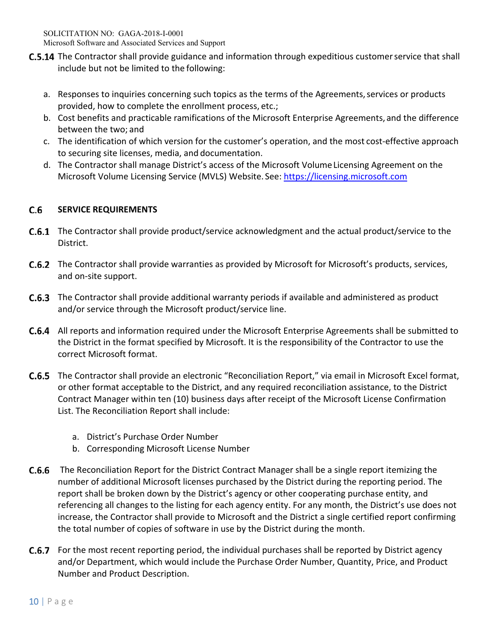- **C.5.14** The Contractor shall provide guidance and information through expeditious customer service that shall include but not be limited to the following:
	- a. Responses to inquiries concerning such topics as the terms of the Agreements, services or products provided, how to complete the enrollment process, etc.;
	- b. Cost benefits and practicable ramifications of the Microsoft Enterprise Agreements, and the difference between the two; and
	- c. The identification of which version for the customer's operation, and the most cost‐effective approach to securing site licenses, media, and documentation.
	- d. The Contractor shall manage District's access of the Microsoft Volume Licensing Agreement on the Microsoft Volume Licensing Service (MVLS) Website. See: https://licensing.microsoft.com

## $C.6$ **SERVICE REQUIREMENTS**

- The Contractor shall provide product/service acknowledgment and the actual product/service to the District.
- C.6.2 The Contractor shall provide warranties as provided by Microsoft for Microsoft's products, services, and on‐site support.
- **C.6.3** The Contractor shall provide additional warranty periods if available and administered as product and/or service through the Microsoft product/service line.
- All reports and information required under the Microsoft Enterprise Agreements shall be submitted to the District in the format specified by Microsoft. It is the responsibility of the Contractor to use the correct Microsoft format.
- The Contractor shall provide an electronic "Reconciliation Report," via email in Microsoft Excel format, or other format acceptable to the District, and any required reconciliation assistance, to the District Contract Manager within ten (10) business days after receipt of the Microsoft License Confirmation List. The Reconciliation Report shall include:
	- a. District's Purchase Order Number
	- b. Corresponding Microsoft License Number
- The Reconciliation Report for the District Contract Manager shall be a single report itemizing the number of additional Microsoft licenses purchased by the District during the reporting period. The report shall be broken down by the District's agency or other cooperating purchase entity, and referencing all changes to the listing for each agency entity. For any month, the District's use does not increase, the Contractor shall provide to Microsoft and the District a single certified report confirming the total number of copies of software in use by the District during the month.
- **C.6.7** For the most recent reporting period, the individual purchases shall be reported by District agency and/or Department, which would include the Purchase Order Number, Quantity, Price, and Product Number and Product Description.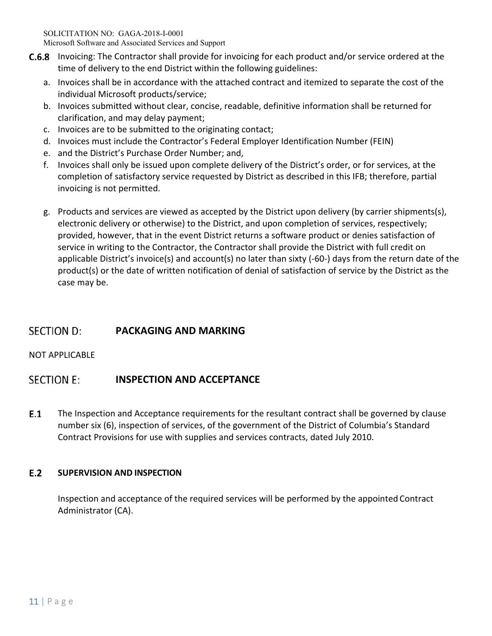- **C.6.8** Invoicing: The Contractor shall provide for invoicing for each product and/or service ordered at the time of delivery to the end District within the following guidelines:
	- a. Invoices shall be in accordance with the attached contract and itemized to separate the cost of the individual Microsoft products/service;
	- b. Invoices submitted without clear, concise, readable, definitive information shall be returned for clarification, and may delay payment;
	- c. Invoices are to be submitted to the originating contact;
	- d. Invoices must include the Contractor's Federal Employer Identification Number (FEIN)
	- e. and the District's Purchase Order Number; and,
	- f. Invoices shall only be issued upon complete delivery of the District's order, or for services, at the completion of satisfactory service requested by District as described in this IFB; therefore, partial invoicing is not permitted.
	- g. Products and services are viewed as accepted by the District upon delivery (by carrier shipments(s), electronic delivery or otherwise) to the District, and upon completion of services, respectively; provided, however, that in the event District returns a software product or denies satisfaction of service in writing to the Contractor, the Contractor shall provide the District with full credit on applicable District's invoice(s) and account(s) no later than sixty (‐60‐) days from the return date of the product(s) or the date of written notification of denial of satisfaction of service by the District as the case may be.

## **SECTION D: PACKAGING AND MARKING**

# NOT APPLICABLE

## **SECTION E: INSPECTION AND ACCEPTANCE**

 $E.1$ The Inspection and Acceptance requirements for the resultant contract shall be governed by clause number six (6), inspection of services, of the government of the District of Columbia's Standard Contract Provisions for use with supplies and services contracts, dated July 2010.

## $E.2$ **SUPERVISION AND INSPECTION**

Inspection and acceptance of the required services will be performed by the appointed Contract Administrator (CA).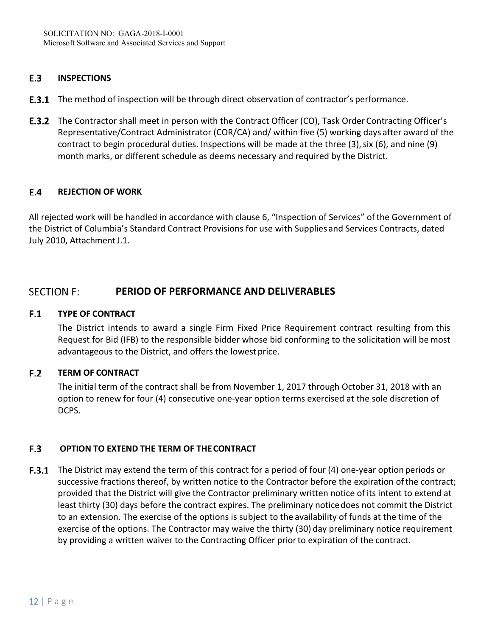### E.3 **INSPECTIONS**

- **E.3.1** The method of inspection will be through direct observation of contractor's performance.
- **E.3.2** The Contractor shall meet in person with the Contract Officer (CO), Task Order Contracting Officer's Representative/Contract Administrator (COR/CA) and/ within five (5) working days after award of the contract to begin procedural duties. Inspections will be made at the three (3), six (6), and nine (9) month marks, or different schedule as deems necessary and required by the District.

## $E.4$ **REJECTION OF WORK**

All rejected work will be handled in accordance with clause 6, "Inspection of Services" of the Government of the District of Columbia's Standard Contract Provisions for use with Supplies and Services Contracts, dated July 2010, Attachment J.1.

## **SECTION F: PERIOD OF PERFORMANCE AND DELIVERABLES**

## $F.1$ **TYPE OF CONTRACT**

The District intends to award a single Firm Fixed Price Requirement contract resulting from this Request for Bid (IFB) to the responsible bidder whose bid conforming to the solicitation will be most advantageous to the District, and offers the lowest price.

## $F.2$ **TERM OF CONTRACT**

The initial term of the contract shall be from November 1, 2017 through October 31, 2018 with an option to renew for four (4) consecutive one‐year option terms exercised at the sole discretion of DCPS.

## $F.3$  **OPTION TO EXTEND THE TERM OF THE CONTRACT**

F.3.1 The District may extend the term of this contract for a period of four (4) one-year option periods or successive fractions thereof, by written notice to the Contractor before the expiration of the contract; provided that the District will give the Contractor preliminary written notice of its intent to extend at least thirty (30) days before the contract expires. The preliminary notice does not commit the District to an extension. The exercise of the options is subject to the availability of funds at the time of the exercise of the options. The Contractor may waive the thirty (30) day preliminary notice requirement by providing a written waiver to the Contracting Officer prior to expiration of the contract.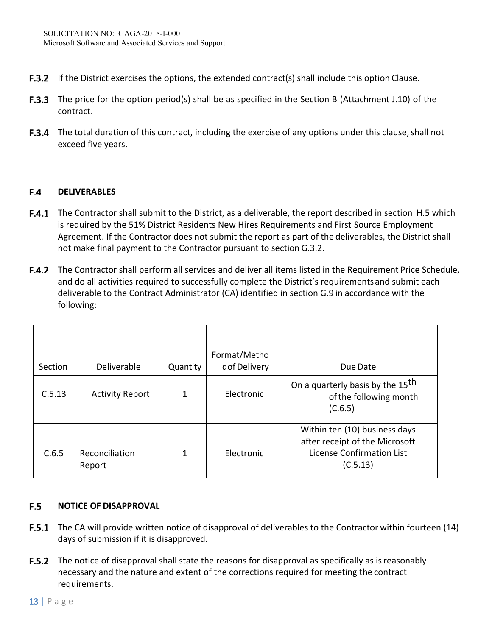- **F.3.2** If the District exercises the options, the extended contract(s) shall include this option Clause.
- **F.3.3** The price for the option period(s) shall be as specified in the Section B (Attachment J.10) of the contract.
- F.3.4 The total duration of this contract, including the exercise of any options under this clause, shall not exceed five years.

### $F.4$ **DELIVERABLES**

- **F.4.1** The Contractor shall submit to the District, as a deliverable, the report described in section H.5 which is required by the 51% District Residents New Hires Requirements and First Source Employment Agreement. If the Contractor does not submit the report as part of the deliverables, the District shall not make final payment to the Contractor pursuant to section G.3.2.
- The Contractor shall perform all services and deliver all items listed in the Requirement Price Schedule, and do all activities required to successfully complete the District's requirements and submit each deliverable to the Contract Administrator (CA) identified in section G.9 in accordance with the following:

| Section | Deliverable              | Quantity | Format/Metho<br>dof Delivery | Due Date                                                                                                        |
|---------|--------------------------|----------|------------------------------|-----------------------------------------------------------------------------------------------------------------|
| C.5.13  | <b>Activity Report</b>   | 1        | Electronic                   | On a quarterly basis by the 15 <sup>th</sup><br>of the following month<br>(C.6.5)                               |
| C.6.5   | Reconciliation<br>Report | 1        | Electronic                   | Within ten (10) business days<br>after receipt of the Microsoft<br><b>License Confirmation List</b><br>(C.5.13) |

## $F.5$ **NOTICE OF DISAPPROVAL**

- **F.5.1** The CA will provide written notice of disapproval of deliverables to the Contractor within fourteen (14) days of submission if it is disapproved.
- **F.5.2** The notice of disapproval shall state the reasons for disapproval as specifically as is reasonably necessary and the nature and extent of the corrections required for meeting the contract requirements.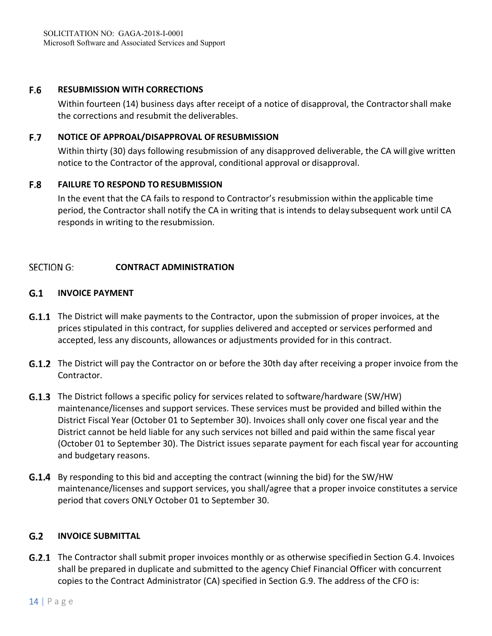### F.6 **RESUBMISSION WITH CORRECTIONS**

Within fourteen (14) business days after receipt of a notice of disapproval, the Contractor shall make the corrections and resubmit the deliverables.

## **F.7 NOTICE OF APPROAL/DISAPPROVAL OF RESUBMISSION**

Within thirty (30) days following resubmission of any disapproved deliverable, the CA will give written notice to the Contractor of the approval, conditional approval or disapproval.

## **F.8 FAILURE TO RESPOND TO RESUBMISSION**

In the event that the CA fails to respond to Contractor's resubmission within the applicable time period, the Contractor shall notify the CA in writing that is intends to delay subsequent work until CA responds in writing to the resubmission.

## **SECTION G: CONTRACT ADMINISTRATION**

## $G.1$ **INVOICE PAYMENT**

- **G.1.1** The District will make payments to the Contractor, upon the submission of proper invoices, at the prices stipulated in this contract, for supplies delivered and accepted or services performed and accepted, less any discounts, allowances or adjustments provided for in this contract.
- **G.1.2** The District will pay the Contractor on or before the 30th day after receiving a proper invoice from the Contractor.
- **G.1.3** The District follows a specific policy for services related to software/hardware (SW/HW) maintenance/licenses and support services. These services must be provided and billed within the District Fiscal Year (October 01 to September 30). Invoices shall only cover one fiscal year and the District cannot be held liable for any such services not billed and paid within the same fiscal year (October 01 to September 30). The District issues separate payment for each fiscal year for accounting and budgetary reasons.
- **G.1.4** By responding to this bid and accepting the contract (winning the bid) for the SW/HW maintenance/licenses and support services, you shall/agree that a proper invoice constitutes a service period that covers ONLY October 01 to September 30.

### $G.2$ **INVOICE SUBMITTAL**

**G.2.1** The Contractor shall submit proper invoices monthly or as otherwise specified in Section G.4. Invoices shall be prepared in duplicate and submitted to the agency Chief Financial Officer with concurrent copies to the Contract Administrator (CA) specified in Section G.9. The address of the CFO is: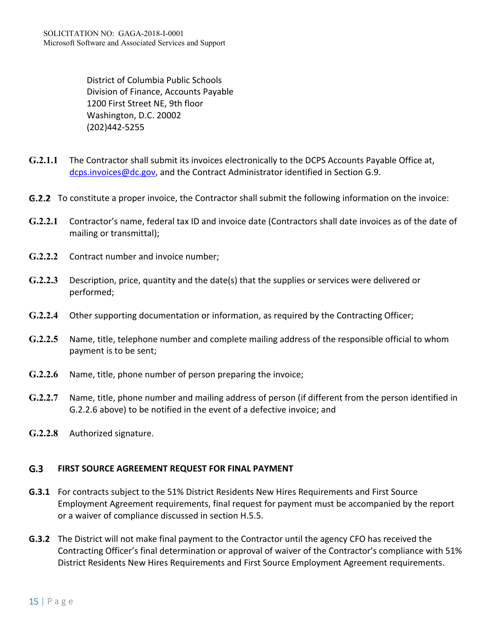District of Columbia Public Schools Division of Finance, Accounts Payable 1200 First Street NE, 9th floor Washington, D.C. 20002 (202)442‐5255

- **G.2.1.1** The Contractor shall submit its invoices electronically to the DCPS Accounts Payable Office at, dcps.invoices@dc.gov, and the Contract Administrator identified in Section G.9.
- **G.2.2** To constitute a proper invoice, the Contractor shall submit the following information on the invoice:
- **G.2.2.1** Contractor's name, federal tax ID and invoice date (Contractors shall date invoices as of the date of mailing or transmittal);
- **G.2.2.2** Contract number and invoice number;
- **G.2.2.3** Description, price, quantity and the date(s) that the supplies or services were delivered or performed;
- **G.2.2.4** Other supporting documentation or information, as required by the Contracting Officer;
- **G.2.2.5** Name, title, telephone number and complete mailing address of the responsible official to whom payment is to be sent;
- **G.2.2.6** Name, title, phone number of person preparing the invoice;
- **G.2.2.7** Name, title, phone number and mailing address of person (if different from the person identified in G.2.2.6 above) to be notified in the event of a defective invoice; and
- **G.2.2.8** Authorized signature.

### $G.3$ **FIRST SOURCE AGREEMENT REQUEST FOR FINAL PAYMENT**

- **G.3.1**  For contracts subject to the 51% District Residents New Hires Requirements and First Source Employment Agreement requirements, final request for payment must be accompanied by the report or a waiver of compliance discussed in section H.5.5.
- **G.3.2**  The District will not make final payment to the Contractor until the agency CFO has received the Contracting Officer's final determination or approval of waiver of the Contractor's compliance with 51% District Residents New Hires Requirements and First Source Employment Agreement requirements.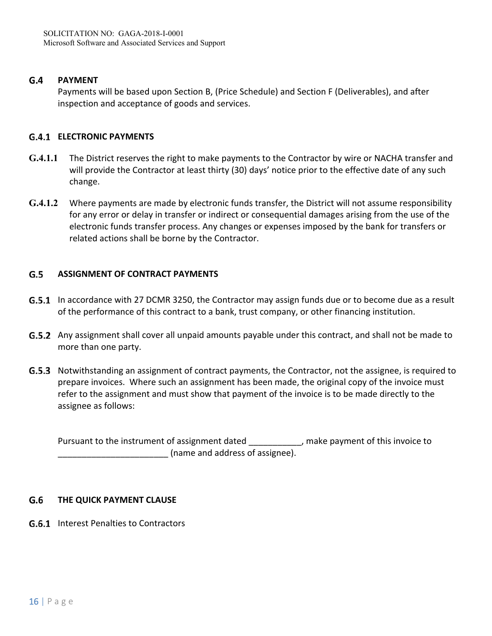#### $G.4$ **PAYMENT**

Payments will be based upon Section B, (Price Schedule) and Section F (Deliverables), and after inspection and acceptance of goods and services.

## **ELECTRONIC PAYMENTS**

- **G.4.1.1** The District reserves the right to make payments to the Contractor by wire or NACHA transfer and will provide the Contractor at least thirty (30) days' notice prior to the effective date of any such change.
- **G.4.1.2** Where payments are made by electronic funds transfer, the District will not assume responsibility for any error or delay in transfer or indirect or consequential damages arising from the use of the electronic funds transfer process. Any changes or expenses imposed by the bank for transfers or related actions shall be borne by the Contractor.

### $G.5$ **ASSIGNMENT OF CONTRACT PAYMENTS**

- **G.5.1** In accordance with 27 DCMR 3250, the Contractor may assign funds due or to become due as a result of the performance of this contract to a bank, trust company, or other financing institution.
- G.5.2 Any assignment shall cover all unpaid amounts payable under this contract, and shall not be made to more than one party.
- **G.5.3** Notwithstanding an assignment of contract payments, the Contractor, not the assignee, is required to prepare invoices. Where such an assignment has been made, the original copy of the invoice must refer to the assignment and must show that payment of the invoice is to be made directly to the assignee as follows:

Pursuant to the instrument of assignment dated and make payment of this invoice to (name and address of assignee).

### $G.6$ **THE QUICK PAYMENT CLAUSE**

**G.6.1** Interest Penalties to Contractors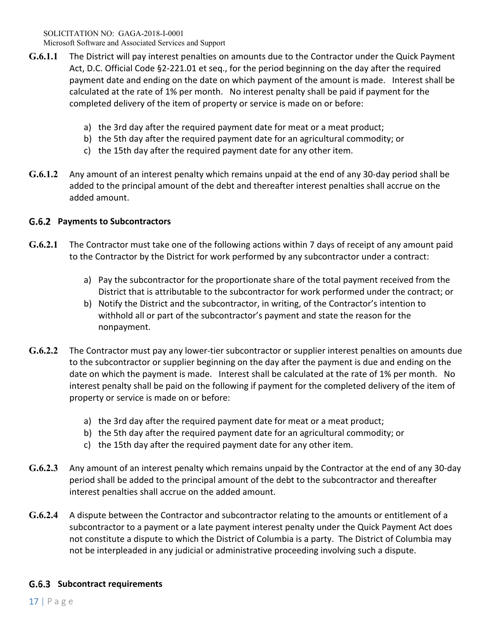- **G.6.1.1** The District will pay interest penalties on amounts due to the Contractor under the Quick Payment Act, D.C. Official Code §2‐221.01 et seq., for the period beginning on the day after the required payment date and ending on the date on which payment of the amount is made. Interest shall be calculated at the rate of 1% per month. No interest penalty shall be paid if payment for the completed delivery of the item of property or service is made on or before:
	- a) the 3rd day after the required payment date for meat or a meat product;
	- b) the 5th day after the required payment date for an agricultural commodity; or
	- c) the 15th day after the required payment date for any other item.
- **G.6.1.2** Any amount of an interest penalty which remains unpaid at the end of any 30‐day period shall be added to the principal amount of the debt and thereafter interest penalties shall accrue on the added amount.

# **Payments to Subcontractors**

- **G.6.2.1** The Contractor must take one of the following actions within 7 days of receipt of any amount paid to the Contractor by the District for work performed by any subcontractor under a contract:
	- a) Pay the subcontractor for the proportionate share of the total payment received from the District that is attributable to the subcontractor for work performed under the contract; or
	- b) Notify the District and the subcontractor, in writing, of the Contractor's intention to withhold all or part of the subcontractor's payment and state the reason for the nonpayment.
- **G.6.2.2** The Contractor must pay any lower‐tier subcontractor or supplier interest penalties on amounts due to the subcontractor or supplier beginning on the day after the payment is due and ending on the date on which the payment is made. Interest shall be calculated at the rate of 1% per month. No interest penalty shall be paid on the following if payment for the completed delivery of the item of property or service is made on or before:
	- a) the 3rd day after the required payment date for meat or a meat product;
	- b) the 5th day after the required payment date for an agricultural commodity; or
	- c) the 15th day after the required payment date for any other item.
- **G.6.2.3** Any amount of an interest penalty which remains unpaid by the Contractor at the end of any 30‐day period shall be added to the principal amount of the debt to the subcontractor and thereafter interest penalties shall accrue on the added amount.
- **G.6.2.4** A dispute between the Contractor and subcontractor relating to the amounts or entitlement of a subcontractor to a payment or a late payment interest penalty under the Quick Payment Act does not constitute a dispute to which the District of Columbia is a party. The District of Columbia may not be interpleaded in any judicial or administrative proceeding involving such a dispute.

# **Subcontract requirements**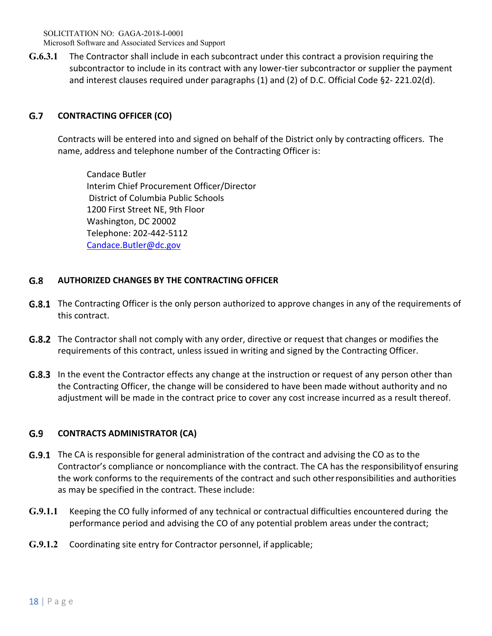**G.6.3.1** The Contractor shall include in each subcontract under this contract a provision requiring the subcontractor to include in its contract with any lower-tier subcontractor or supplier the payment and interest clauses required under paragraphs (1) and (2) of D.C. Official Code §2‐ 221.02(d).

## $G.7$ **CONTRACTING OFFICER (CO)**

Contracts will be entered into and signed on behalf of the District only by contracting officers. The name, address and telephone number of the Contracting Officer is:

Candace Butler Interim Chief Procurement Officer/Director District of Columbia Public Schools 1200 First Street NE, 9th Floor Washington, DC 20002 Telephone: 202‐442‐5112 Candace.Butler@dc.gov

## $G.8$ **AUTHORIZED CHANGES BY THE CONTRACTING OFFICER**

- **G.8.1** The Contracting Officer is the only person authorized to approve changes in any of the requirements of this contract.
- **G.8.2** The Contractor shall not comply with any order, directive or request that changes or modifies the requirements of this contract, unless issued in writing and signed by the Contracting Officer.
- **G.8.3** In the event the Contractor effects any change at the instruction or request of any person other than the Contracting Officer, the change will be considered to have been made without authority and no adjustment will be made in the contract price to cover any cost increase incurred as a result thereof.

## G.9 **CONTRACTS ADMINISTRATOR (CA)**

- **G.9.1** The CA is responsible for general administration of the contract and advising the CO as to the Contractor's compliance or noncompliance with the contract. The CA has the responsibility of ensuring the work conforms to the requirements of the contract and such other responsibilities and authorities as may be specified in the contract. These include:
- **G.9.1.1** Keeping the CO fully informed of any technical or contractual difficulties encountered during the performance period and advising the CO of any potential problem areas under the contract;
- **G.9.1.2** Coordinating site entry for Contractor personnel, if applicable;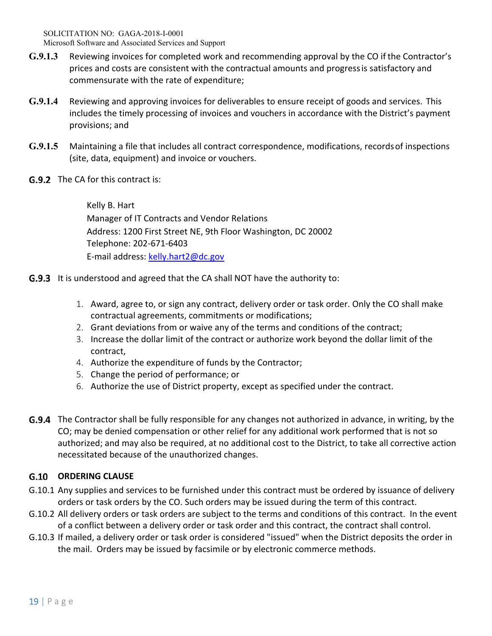- **G.9.1.3** Reviewing invoices for completed work and recommending approval by the CO if the Contractor's prices and costs are consistent with the contractual amounts and progress is satisfactory and commensurate with the rate of expenditure;
- **G.9.1.4** Reviewing and approving invoices for deliverables to ensure receipt of goods and services. This includes the timely processing of invoices and vouchers in accordance with the District's payment provisions; and
- **G.9.1.5** Maintaining a file that includes all contract correspondence, modifications, records of inspections (site, data, equipment) and invoice or vouchers.
- **G.9.2** The CA for this contract is:

Kelly B. Hart Manager of IT Contracts and Vendor Relations Address: 1200 First Street NE, 9th Floor Washington, DC 20002 Telephone: 202‐671‐6403 E‐mail address: kelly.hart2@dc.gov

- **G.9.3** It is understood and agreed that the CA shall NOT have the authority to:
	- 1. Award, agree to, or sign any contract, delivery order or task order. Only the CO shall make contractual agreements, commitments or modifications;
	- 2. Grant deviations from or waive any of the terms and conditions of the contract;
	- 3. Increase the dollar limit of the contract or authorize work beyond the dollar limit of the contract,
	- 4. Authorize the expenditure of funds by the Contractor;
	- 5. Change the period of performance; or
	- 6. Authorize the use of District property, except as specified under the contract.
- G.9.4 The Contractor shall be fully responsible for any changes not authorized in advance, in writing, by the CO; may be denied compensation or other relief for any additional work performed that is not so authorized; and may also be required, at no additional cost to the District, to take all corrective action necessitated because of the unauthorized changes.

# **ORDERING CLAUSE**

- G.10.1 Any supplies and services to be furnished under this contract must be ordered by issuance of delivery orders or task orders by the CO. Such orders may be issued during the term of this contract.
- G.10.2 All delivery orders or task orders are subject to the terms and conditions of this contract. In the event of a conflict between a delivery order or task order and this contract, the contract shall control.
- G.10.3 If mailed, a delivery order or task order is considered "issued" when the District deposits the order in the mail. Orders may be issued by facsimile or by electronic commerce methods.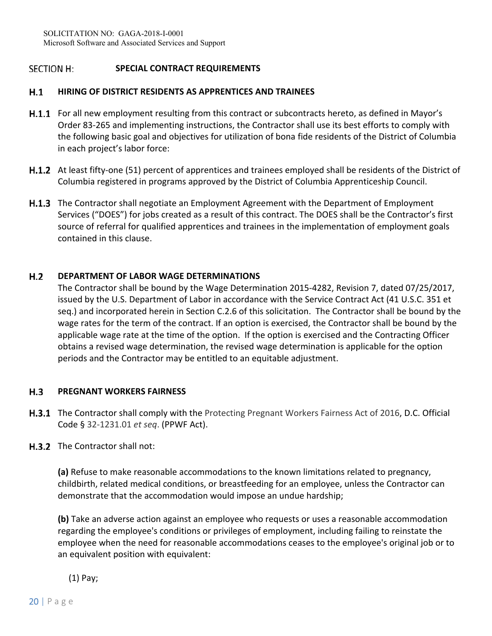## **SECTION H: SPECIAL CONTRACT REQUIREMENTS**

## $H.1$ **HIRING OF DISTRICT RESIDENTS AS APPRENTICES AND TRAINEES**

- H.1.1 For all new employment resulting from this contract or subcontracts hereto, as defined in Mayor's Order 83‐265 and implementing instructions, the Contractor shall use its best efforts to comply with the following basic goal and objectives for utilization of bona fide residents of the District of Columbia in each project's labor force:
- H.1.2 At least fifty-one (51) percent of apprentices and trainees employed shall be residents of the District of Columbia registered in programs approved by the District of Columbia Apprenticeship Council.
- **H.1.3** The Contractor shall negotiate an Employment Agreement with the Department of Employment Services ("DOES") for jobs created as a result of this contract. The DOES shall be the Contractor's first source of referral for qualified apprentices and trainees in the implementation of employment goals contained in this clause.

## $H.2$ **DEPARTMENT OF LABOR WAGE DETERMINATIONS**

The Contractor shall be bound by the Wage Determination 2015‐4282, Revision 7, dated 07/25/2017, issued by the U.S. Department of Labor in accordance with the Service Contract Act (41 U.S.C. 351 et seq.) and incorporated herein in Section C.2.6 of this solicitation. The Contractor shall be bound by the wage rates for the term of the contract. If an option is exercised, the Contractor shall be bound by the applicable wage rate at the time of the option. If the option is exercised and the Contracting Officer obtains a revised wage determination, the revised wage determination is applicable for the option periods and the Contractor may be entitled to an equitable adjustment.

### $H.3$ **PREGNANT WORKERS FAIRNESS**

- **H.3.1** The Contractor shall comply with the Protecting Pregnant Workers Fairness Act of 2016, D.C. Official Code § 32‐1231.01 *et seq*. (PPWF Act).
- H.3.2 The Contractor shall not:

**(a)** Refuse to make reasonable accommodations to the known limitations related to pregnancy, childbirth, related medical conditions, or breastfeeding for an employee, unless the Contractor can demonstrate that the accommodation would impose an undue hardship;

**(b)** Take an adverse action against an employee who requests or uses a reasonable accommodation regarding the employee's conditions or privileges of employment, including failing to reinstate the employee when the need for reasonable accommodations ceases to the employee's original job or to an equivalent position with equivalent:

# (1) Pay;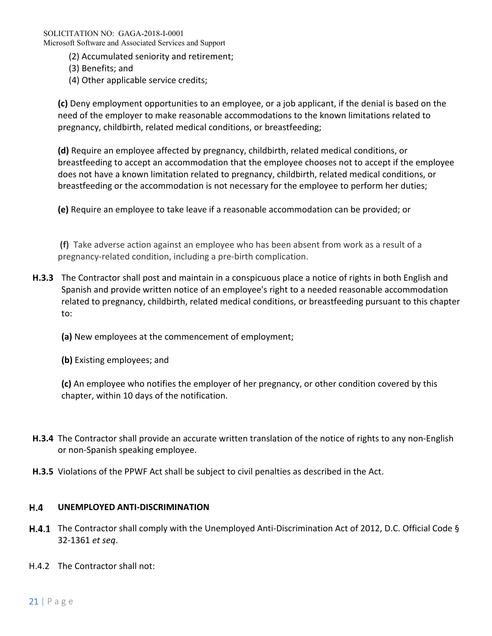- (2) Accumulated seniority and retirement;
- (3) Benefits; and
- (4) Other applicable service credits;

**(c)** Deny employment opportunities to an employee, or a job applicant, if the denial is based on the need of the employer to make reasonable accommodations to the known limitations related to pregnancy, childbirth, related medical conditions, or breastfeeding;

**(d)** Require an employee affected by pregnancy, childbirth, related medical conditions, or breastfeeding to accept an accommodation that the employee chooses not to accept if the employee does not have a known limitation related to pregnancy, childbirth, related medical conditions, or breastfeeding or the accommodation is not necessary for the employee to perform her duties;

**(e)** Require an employee to take leave if a reasonable accommodation can be provided; or

**(f)** Take adverse action against an employee who has been absent from work as a result of a pregnancy‐related condition, including a pre‐birth complication.

- **H.3.3** The Contractor shall post and maintain in a conspicuous place a notice of rights in both English and Spanish and provide written notice of an employee's right to a needed reasonable accommodation related to pregnancy, childbirth, related medical conditions, or breastfeeding pursuant to this chapter to:
	- **(a)** New employees at the commencement of employment;
	- **(b)** Existing employees; and

**(c)** An employee who notifies the employer of her pregnancy, or other condition covered by this chapter, within 10 days of the notification.

- **H.3.4** The Contractor shall provide an accurate written translation of the notice of rights to any non‐English or non‐Spanish speaking employee.
- **H.3.5** Violations of the PPWF Act shall be subject to civil penalties as described in the Act.

## **H.4 UNEMPLOYED ANTI‐DISCRIMINATION**

- H.4.1 The Contractor shall comply with the Unemployed Anti-Discrimination Act of 2012, D.C. Official Code § 32‐1361 *et seq*.
- H.4.2 The Contractor shall not: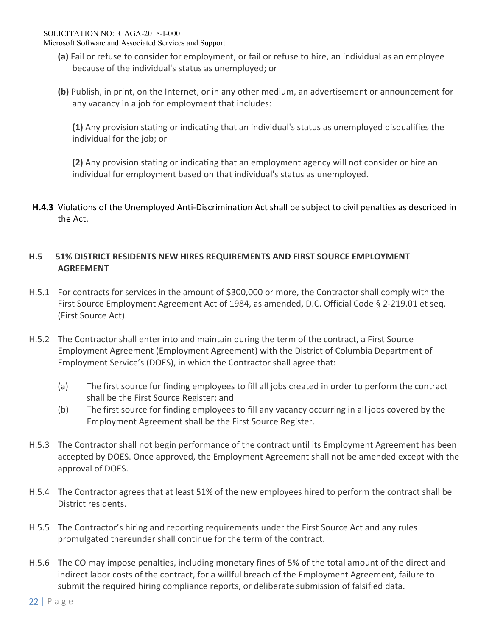SOLICITATION NO: GAGA-2018-I-0001

Microsoft Software and Associated Services and Support

- **(a)** Fail or refuse to consider for employment, or fail or refuse to hire, an individual as an employee because of the individual's status as unemployed; or
- **(b)** Publish, in print, on the Internet, or in any other medium, an advertisement or announcement for any vacancy in a job for employment that includes:

**(1)** Any provision stating or indicating that an individual's status as unemployed disqualifies the individual for the job; or

**(2)** Any provision stating or indicating that an employment agency will not consider or hire an individual for employment based on that individual's status as unemployed.

**H.4.3** Violations of the Unemployed Anti‐Discrimination Act shall be subject to civil penalties as described in the Act.

# **H.5 51% DISTRICT RESIDENTS NEW HIRES REQUIREMENTS AND FIRST SOURCE EMPLOYMENT AGREEMENT**

- H.5.1 For contracts for services in the amount of \$300,000 or more, the Contractor shall comply with the First Source Employment Agreement Act of 1984, as amended, D.C. Official Code § 2‐219.01 et seq. (First Source Act).
- H.5.2 The Contractor shall enter into and maintain during the term of the contract, a First Source Employment Agreement (Employment Agreement) with the District of Columbia Department of Employment Service's (DOES), in which the Contractor shall agree that:
	- (a) The first source for finding employees to fill all jobs created in order to perform the contract shall be the First Source Register; and
	- (b) The first source for finding employees to fill any vacancy occurring in all jobs covered by the Employment Agreement shall be the First Source Register.
- H.5.3 The Contractor shall not begin performance of the contract until its Employment Agreement has been accepted by DOES. Once approved, the Employment Agreement shall not be amended except with the approval of DOES.
- H.5.4 The Contractor agrees that at least 51% of the new employees hired to perform the contract shall be District residents.
- H.5.5 The Contractor's hiring and reporting requirements under the First Source Act and any rules promulgated thereunder shall continue for the term of the contract.
- H.5.6 The CO may impose penalties, including monetary fines of 5% of the total amount of the direct and indirect labor costs of the contract, for a willful breach of the Employment Agreement, failure to submit the required hiring compliance reports, or deliberate submission of falsified data.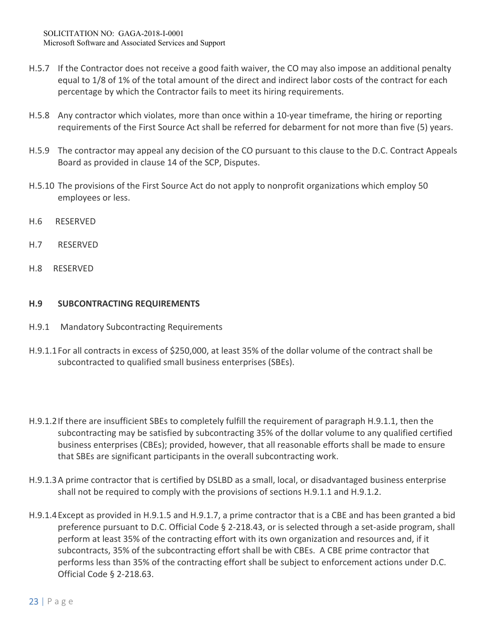- H.5.7 If the Contractor does not receive a good faith waiver, the CO may also impose an additional penalty equal to 1/8 of 1% of the total amount of the direct and indirect labor costs of the contract for each percentage by which the Contractor fails to meet its hiring requirements.
- H.5.8 Any contractor which violates, more than once within a 10‐year timeframe, the hiring or reporting requirements of the First Source Act shall be referred for debarment for not more than five (5) years.
- H.5.9 The contractor may appeal any decision of the CO pursuant to this clause to the D.C. Contract Appeals Board as provided in clause 14 of the SCP, Disputes.
- H.5.10 The provisions of the First Source Act do not apply to nonprofit organizations which employ 50 employees or less.
- H.6 RESERVED
- H.7 RESERVED
- H.8 RESERVED

## **H.9 SUBCONTRACTING REQUIREMENTS**

- H.9.1 Mandatory Subcontracting Requirements
- H.9.1.1 For all contracts in excess of \$250,000, at least 35% of the dollar volume of the contract shall be subcontracted to qualified small business enterprises (SBEs).
- H.9.1.2 If there are insufficient SBEs to completely fulfill the requirement of paragraph H.9.1.1, then the subcontracting may be satisfied by subcontracting 35% of the dollar volume to any qualified certified business enterprises (CBEs); provided, however, that all reasonable efforts shall be made to ensure that SBEs are significant participants in the overall subcontracting work.
- H.9.1.3 A prime contractor that is certified by DSLBD as a small, local, or disadvantaged business enterprise shall not be required to comply with the provisions of sections H.9.1.1 and H.9.1.2.
- H.9.1.4 Except as provided in H.9.1.5 and H.9.1.7, a prime contractor that is a CBE and has been granted a bid preference pursuant to D.C. Official Code § 2-218.43, or is selected through a set-aside program, shall perform at least 35% of the contracting effort with its own organization and resources and, if it subcontracts, 35% of the subcontracting effort shall be with CBEs. A CBE prime contractor that performs less than 35% of the contracting effort shall be subject to enforcement actions under D.C. Official Code § 2‐218.63.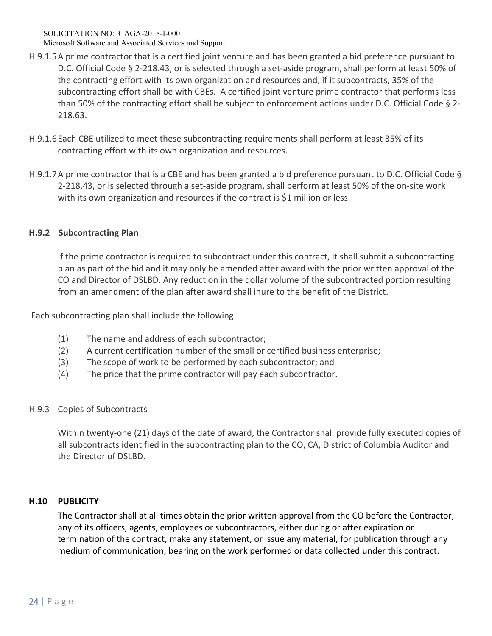SOLICITATION NO: GAGA-2018-I-0001 Microsoft Software and Associated Services and Support

- H.9.1.5 A prime contractor that is a certified joint venture and has been granted a bid preference pursuant to D.C. Official Code § 2-218.43, or is selected through a set-aside program, shall perform at least 50% of the contracting effort with its own organization and resources and, if it subcontracts, 35% of the subcontracting effort shall be with CBEs. A certified joint venture prime contractor that performs less than 50% of the contracting effort shall be subject to enforcement actions under D.C. Official Code § 2‐ 218.63.
- H.9.1.6 Each CBE utilized to meet these subcontracting requirements shall perform at least 35% of its contracting effort with its own organization and resources.
- H.9.1.7 A prime contractor that is a CBE and has been granted a bid preference pursuant to D.C. Official Code § 2‐218.43, or is selected through a set‐aside program, shall perform at least 50% of the on‐site work with its own organization and resources if the contract is \$1 million or less.

## **H.9.2 Subcontracting Plan**

If the prime contractor is required to subcontract under this contract, it shall submit a subcontracting plan as part of the bid and it may only be amended after award with the prior written approval of the CO and Director of DSLBD. Any reduction in the dollar volume of the subcontracted portion resulting from an amendment of the plan after award shall inure to the benefit of the District.

Each subcontracting plan shall include the following:

- (1) The name and address of each subcontractor;
- (2) A current certification number of the small or certified business enterprise;
- (3) The scope of work to be performed by each subcontractor; and
- (4) The price that the prime contractor will pay each subcontractor.

## H.9.3 Copies of Subcontracts

 Within twenty‐one (21) days of the date of award, the Contractor shall provide fully executed copies of all subcontracts identified in the subcontracting plan to the CO, CA, District of Columbia Auditor and the Director of DSLBD.

## **H.10 PUBLICITY**

The Contractor shall at all times obtain the prior written approval from the CO before the Contractor, any of its officers, agents, employees or subcontractors, either during or after expiration or termination of the contract, make any statement, or issue any material, for publication through any medium of communication, bearing on the work performed or data collected under this contract.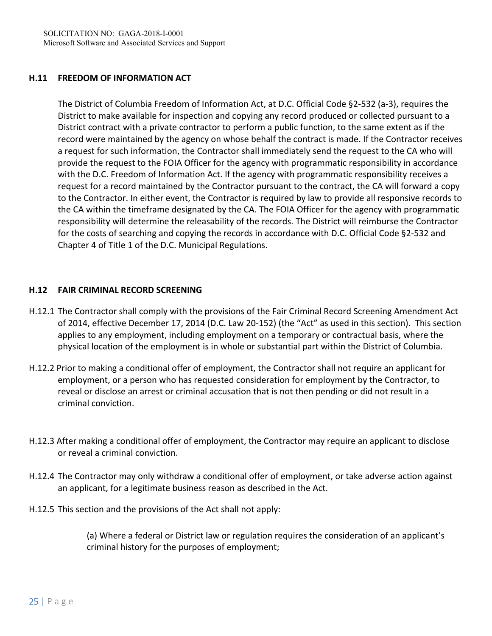## **H.11 FREEDOM OF INFORMATION ACT**

The District of Columbia Freedom of Information Act, at D.C. Official Code §2‐532 (a‐3), requires the District to make available for inspection and copying any record produced or collected pursuant to a District contract with a private contractor to perform a public function, to the same extent as if the record were maintained by the agency on whose behalf the contract is made. If the Contractor receives a request for such information, the Contractor shall immediately send the request to the CA who will provide the request to the FOIA Officer for the agency with programmatic responsibility in accordance with the D.C. Freedom of Information Act. If the agency with programmatic responsibility receives a request for a record maintained by the Contractor pursuant to the contract, the CA will forward a copy to the Contractor. In either event, the Contractor is required by law to provide all responsive records to the CA within the timeframe designated by the CA. The FOIA Officer for the agency with programmatic responsibility will determine the releasability of the records. The District will reimburse the Contractor for the costs of searching and copying the records in accordance with D.C. Official Code §2‐532 and Chapter 4 of Title 1 of the D.C. Municipal Regulations.

## **H.12 FAIR CRIMINAL RECORD SCREENING**

- H.12.1 The Contractor shall comply with the provisions of the Fair Criminal Record Screening Amendment Act of 2014, effective December 17, 2014 (D.C. Law 20‐152) (the "Act" as used in this section). This section applies to any employment, including employment on a temporary or contractual basis, where the physical location of the employment is in whole or substantial part within the District of Columbia.
- H.12.2 Prior to making a conditional offer of employment, the Contractor shall not require an applicant for employment, or a person who has requested consideration for employment by the Contractor, to reveal or disclose an arrest or criminal accusation that is not then pending or did not result in a criminal conviction.
- H.12.3 After making a conditional offer of employment, the Contractor may require an applicant to disclose or reveal a criminal conviction.
- H.12.4 The Contractor may only withdraw a conditional offer of employment, or take adverse action against an applicant, for a legitimate business reason as described in the Act.
- H.12.5 This section and the provisions of the Act shall not apply:

(a) Where a federal or District law or regulation requires the consideration of an applicant's criminal history for the purposes of employment;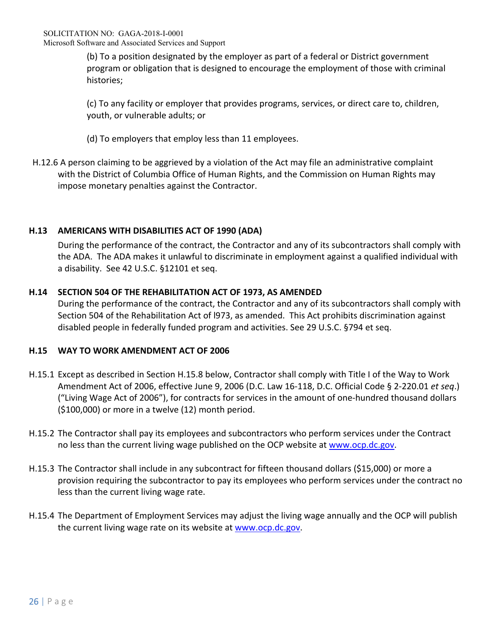(b) To a position designated by the employer as part of a federal or District government program or obligation that is designed to encourage the employment of those with criminal histories;

(c) To any facility or employer that provides programs, services, or direct care to, children, youth, or vulnerable adults; or

- (d) To employers that employ less than 11 employees.
- H.12.6 A person claiming to be aggrieved by a violation of the Act may file an administrative complaint with the District of Columbia Office of Human Rights, and the Commission on Human Rights may impose monetary penalties against the Contractor.

# **H.13 AMERICANS WITH DISABILITIES ACT OF 1990 (ADA)**

During the performance of the contract, the Contractor and any of its subcontractors shall comply with the ADA. The ADA makes it unlawful to discriminate in employment against a qualified individual with a disability. See 42 U.S.C. §12101 et seq.

# **H.14 SECTION 504 OF THE REHABILITATION ACT OF 1973, AS AMENDED**

During the performance of the contract, the Contractor and any of its subcontractors shall comply with Section 504 of the Rehabilitation Act of l973, as amended. This Act prohibits discrimination against disabled people in federally funded program and activities. See 29 U.S.C. §794 et seq.

# **H.15 WAY TO WORK AMENDMENT ACT OF 2006**

- H.15.1 Except as described in Section H.15.8 below, Contractor shall comply with Title I of the Way to Work Amendment Act of 2006, effective June 9, 2006 (D.C. Law 16‐118, D.C. Official Code § 2‐220.01 *et seq*.) ("Living Wage Act of 2006"), for contracts for services in the amount of one‐hundred thousand dollars (\$100,000) or more in a twelve (12) month period.
- H.15.2 The Contractor shall pay its employees and subcontractors who perform services under the Contract no less than the current living wage published on the OCP website at www.ocp.dc.gov.
- H.15.3 The Contractor shall include in any subcontract for fifteen thousand dollars (\$15,000) or more a provision requiring the subcontractor to pay its employees who perform services under the contract no less than the current living wage rate.
- H.15.4 The Department of Employment Services may adjust the living wage annually and the OCP will publish the current living wage rate on its website at www.ocp.dc.gov.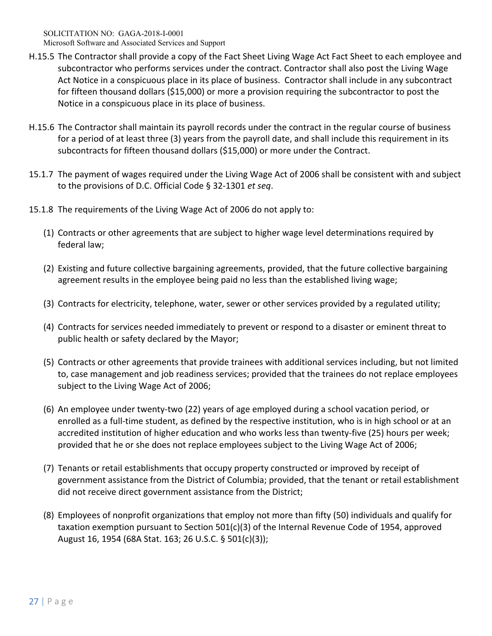SOLICITATION NO: GAGA-2018-I-0001 Microsoft Software and Associated Services and Support

- H.15.5 The Contractor shall provide a copy of the Fact Sheet Living Wage Act Fact Sheet to each employee and subcontractor who performs services under the contract. Contractor shall also post the Living Wage Act Notice in a conspicuous place in its place of business. Contractor shall include in any subcontract for fifteen thousand dollars (\$15,000) or more a provision requiring the subcontractor to post the Notice in a conspicuous place in its place of business.
- H.15.6 The Contractor shall maintain its payroll records under the contract in the regular course of business for a period of at least three (3) years from the payroll date, and shall include this requirement in its subcontracts for fifteen thousand dollars (\$15,000) or more under the Contract.
- 15.1.7 The payment of wages required under the Living Wage Act of 2006 shall be consistent with and subject to the provisions of D.C. Official Code § 32‐1301 *et seq*.
- 15.1.8 The requirements of the Living Wage Act of 2006 do not apply to:
	- (1) Contracts or other agreements that are subject to higher wage level determinations required by federal law;
	- (2) Existing and future collective bargaining agreements, provided, that the future collective bargaining agreement results in the employee being paid no less than the established living wage;
	- (3) Contracts for electricity, telephone, water, sewer or other services provided by a regulated utility;
	- (4) Contracts for services needed immediately to prevent or respond to a disaster or eminent threat to public health or safety declared by the Mayor;
	- (5) Contracts or other agreements that provide trainees with additional services including, but not limited to, case management and job readiness services; provided that the trainees do not replace employees subject to the Living Wage Act of 2006;
	- (6) An employee under twenty‐two (22) years of age employed during a school vacation period, or enrolled as a full‐time student, as defined by the respective institution, who is in high school or at an accredited institution of higher education and who works less than twenty‐five (25) hours per week; provided that he or she does not replace employees subject to the Living Wage Act of 2006;
	- (7) Tenants or retail establishments that occupy property constructed or improved by receipt of government assistance from the District of Columbia; provided, that the tenant or retail establishment did not receive direct government assistance from the District;
	- (8) Employees of nonprofit organizations that employ not more than fifty (50) individuals and qualify for taxation exemption pursuant to Section 501(c)(3) of the Internal Revenue Code of 1954, approved August 16, 1954 (68A Stat. 163; 26 U.S.C. § 501(c)(3));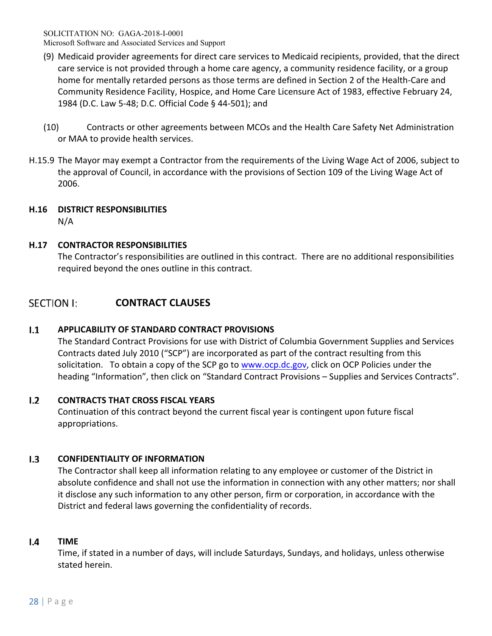- (9) Medicaid provider agreements for direct care services to Medicaid recipients, provided, that the direct care service is not provided through a home care agency, a community residence facility, or a group home for mentally retarded persons as those terms are defined in Section 2 of the Health‐Care and Community Residence Facility, Hospice, and Home Care Licensure Act of 1983, effective February 24, 1984 (D.C. Law 5‐48; D.C. Official Code § 44‐501); and
- (10) Contracts or other agreements between MCOs and the Health Care Safety Net Administration or MAA to provide health services.
- H.15.9 The Mayor may exempt a Contractor from the requirements of the Living Wage Act of 2006, subject to the approval of Council, in accordance with the provisions of Section 109 of the Living Wage Act of 2006.

# **H.16 DISTRICT RESPONSIBILITIES**

N/A

# **H.17 CONTRACTOR RESPONSIBILITIES**

The Contractor's responsibilities are outlined in this contract. There are no additional responsibilities required beyond the ones outline in this contract.

## **SECTION I: CONTRACT CLAUSES**

## $1.1$ **APPLICABILITY OF STANDARD CONTRACT PROVISIONS**

The Standard Contract Provisions for use with District of Columbia Government Supplies and Services Contracts dated July 2010 ("SCP") are incorporated as part of the contract resulting from this solicitation. To obtain a copy of the SCP go to www.ocp.dc.gov, click on OCP Policies under the heading "Information", then click on "Standard Contract Provisions – Supplies and Services Contracts".

## $1.2$ **CONTRACTS THAT CROSS FISCAL YEARS**

Continuation of this contract beyond the current fiscal year is contingent upon future fiscal appropriations.

## $1.3$ **CONFIDENTIALITY OF INFORMATION**

The Contractor shall keep all information relating to any employee or customer of the District in absolute confidence and shall not use the information in connection with any other matters; nor shall it disclose any such information to any other person, firm or corporation, in accordance with the District and federal laws governing the confidentiality of records.

## $1.4$ **TIME**

Time, if stated in a number of days, will include Saturdays, Sundays, and holidays, unless otherwise stated herein.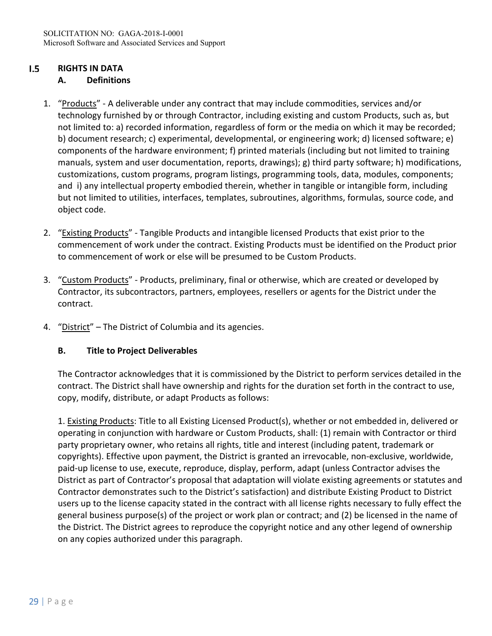## $1.5$ **RIGHTS IN DATA**

# **A. Definitions**

- 1. "Products" ‐ A deliverable under any contract that may include commodities, services and/or technology furnished by or through Contractor, including existing and custom Products, such as, but not limited to: a) recorded information, regardless of form or the media on which it may be recorded; b) document research; c) experimental, developmental, or engineering work; d) licensed software; e) components of the hardware environment; f) printed materials (including but not limited to training manuals, system and user documentation, reports, drawings); g) third party software; h) modifications, customizations, custom programs, program listings, programming tools, data, modules, components; and i) any intellectual property embodied therein, whether in tangible or intangible form, including but not limited to utilities, interfaces, templates, subroutines, algorithms, formulas, source code, and object code.
- 2. "Existing Products" Tangible Products and intangible licensed Products that exist prior to the commencement of work under the contract. Existing Products must be identified on the Product prior to commencement of work or else will be presumed to be Custom Products.
- 3. "Custom Products" Products, preliminary, final or otherwise, which are created or developed by Contractor, its subcontractors, partners, employees, resellers or agents for the District under the contract.
- 4. "District" The District of Columbia and its agencies.

# **B. Title to Project Deliverables**

The Contractor acknowledges that it is commissioned by the District to perform services detailed in the contract. The District shall have ownership and rights for the duration set forth in the contract to use, copy, modify, distribute, or adapt Products as follows:

1. Existing Products: Title to all Existing Licensed Product(s), whether or not embedded in, delivered or operating in conjunction with hardware or Custom Products, shall: (1) remain with Contractor or third party proprietary owner, who retains all rights, title and interest (including patent, trademark or copyrights). Effective upon payment, the District is granted an irrevocable, non‐exclusive, worldwide, paid‐up license to use, execute, reproduce, display, perform, adapt (unless Contractor advises the District as part of Contractor's proposal that adaptation will violate existing agreements or statutes and Contractor demonstrates such to the District's satisfaction) and distribute Existing Product to District users up to the license capacity stated in the contract with all license rights necessary to fully effect the general business purpose(s) of the project or work plan or contract; and (2) be licensed in the name of the District. The District agrees to reproduce the copyright notice and any other legend of ownership on any copies authorized under this paragraph.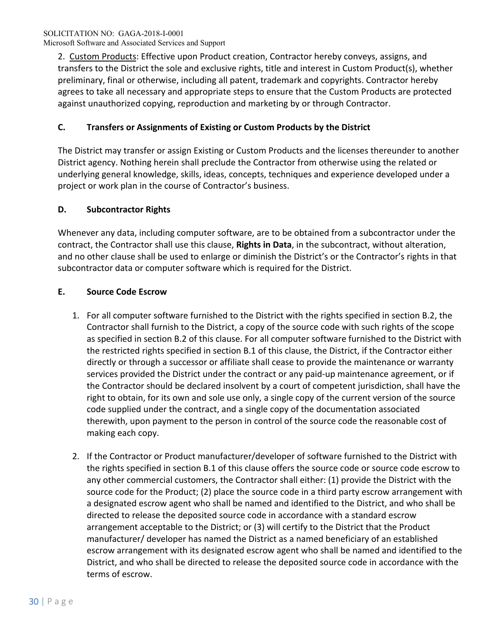2. Custom Products: Effective upon Product creation, Contractor hereby conveys, assigns, and transfers to the District the sole and exclusive rights, title and interest in Custom Product(s), whether preliminary, final or otherwise, including all patent, trademark and copyrights. Contractor hereby agrees to take all necessary and appropriate steps to ensure that the Custom Products are protected against unauthorized copying, reproduction and marketing by or through Contractor.

# **C. Transfers or Assignments of Existing or Custom Products by the District**

The District may transfer or assign Existing or Custom Products and the licenses thereunder to another District agency. Nothing herein shall preclude the Contractor from otherwise using the related or underlying general knowledge, skills, ideas, concepts, techniques and experience developed under a project or work plan in the course of Contractor's business.

# **D. Subcontractor Rights**

Whenever any data, including computer software, are to be obtained from a subcontractor under the contract, the Contractor shall use this clause, **Rights in Data**, in the subcontract, without alteration, and no other clause shall be used to enlarge or diminish the District's or the Contractor's rights in that subcontractor data or computer software which is required for the District.

# **E. Source Code Escrow**

- 1. For all computer software furnished to the District with the rights specified in section B.2, the Contractor shall furnish to the District, a copy of the source code with such rights of the scope as specified in section B.2 of this clause. For all computer software furnished to the District with the restricted rights specified in section B.1 of this clause, the District, if the Contractor either directly or through a successor or affiliate shall cease to provide the maintenance or warranty services provided the District under the contract or any paid-up maintenance agreement, or if the Contractor should be declared insolvent by a court of competent jurisdiction, shall have the right to obtain, for its own and sole use only, a single copy of the current version of the source code supplied under the contract, and a single copy of the documentation associated therewith, upon payment to the person in control of the source code the reasonable cost of making each copy.
- 2. If the Contractor or Product manufacturer/developer of software furnished to the District with the rights specified in section B.1 of this clause offers the source code or source code escrow to any other commercial customers, the Contractor shall either: (1) provide the District with the source code for the Product; (2) place the source code in a third party escrow arrangement with a designated escrow agent who shall be named and identified to the District, and who shall be directed to release the deposited source code in accordance with a standard escrow arrangement acceptable to the District; or (3) will certify to the District that the Product manufacturer/ developer has named the District as a named beneficiary of an established escrow arrangement with its designated escrow agent who shall be named and identified to the District, and who shall be directed to release the deposited source code in accordance with the terms of escrow.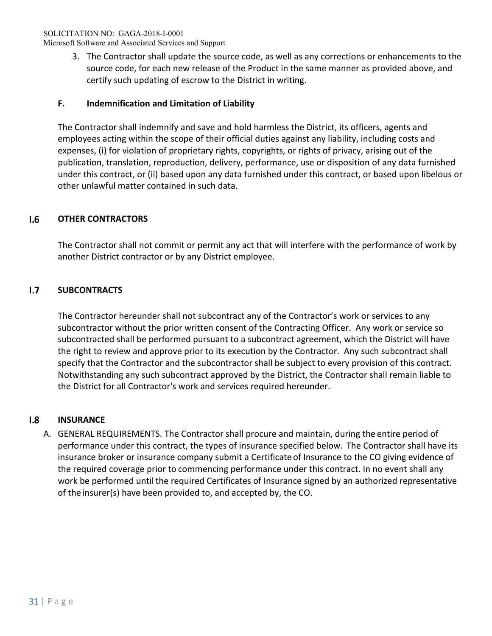Microsoft Software and Associated Services and Support

3. The Contractor shall update the source code, as well as any corrections or enhancements to the source code, for each new release of the Product in the same manner as provided above, and certify such updating of escrow to the District in writing.

# **F. Indemnification and Limitation of Liability**

The Contractor shall indemnify and save and hold harmless the District, its officers, agents and employees acting within the scope of their official duties against any liability, including costs and expenses, (i) for violation of proprietary rights, copyrights, or rights of privacy, arising out of the publication, translation, reproduction, delivery, performance, use or disposition of any data furnished under this contract, or (ii) based upon any data furnished under this contract, or based upon libelous or other unlawful matter contained in such data.

## $1.6$ **OTHER CONTRACTORS**

The Contractor shall not commit or permit any act that will interfere with the performance of work by another District contractor or by any District employee.

## $1.7$ **SUBCONTRACTS**

The Contractor hereunder shall not subcontract any of the Contractor's work or services to any subcontractor without the prior written consent of the Contracting Officer. Any work or service so subcontracted shall be performed pursuant to a subcontract agreement, which the District will have the right to review and approve prior to its execution by the Contractor. Any such subcontract shall specify that the Contractor and the subcontractor shall be subject to every provision of this contract. Notwithstanding any such subcontract approved by the District, the Contractor shall remain liable to the District for all Contractor's work and services required hereunder.

## $1.8$ **INSURANCE**

A. GENERAL REQUIREMENTS. The Contractor shall procure and maintain, during the entire period of performance under this contract, the types of insurance specified below. The Contractor shall have its insurance broker or insurance company submit a Certificate of Insurance to the CO giving evidence of the required coverage prior to commencing performance under this contract. In no event shall any work be performed until the required Certificates of Insurance signed by an authorized representative of the insurer(s) have been provided to, and accepted by, the CO.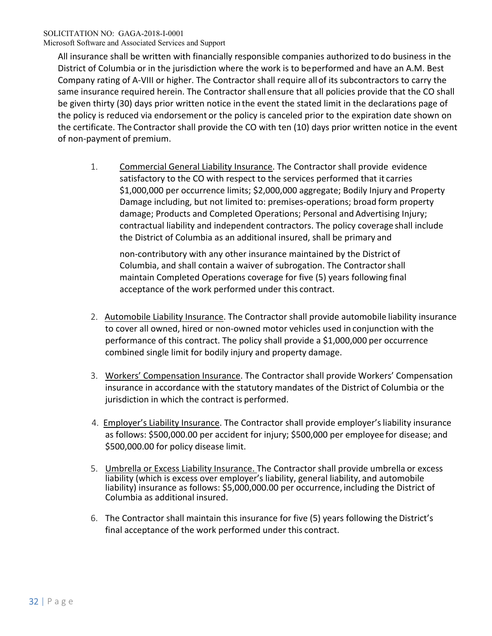All insurance shall be written with financially responsible companies authorized to do business in the District of Columbia or in the jurisdiction where the work is to be performed and have an A.M. Best Company rating of A‐VIII or higher. The Contractor shall require all of its subcontractors to carry the same insurance required herein. The Contractor shall ensure that all policies provide that the CO shall be given thirty (30) days prior written notice in the event the stated limit in the declarations page of the policy is reduced via endorsement or the policy is canceled prior to the expiration date shown on the certificate. The Contractor shall provide the CO with ten (10) days prior written notice in the event of non‐payment of premium.

1. Commercial General Liability Insurance. The Contractor shall provide evidence satisfactory to the CO with respect to the services performed that it carries \$1,000,000 per occurrence limits; \$2,000,000 aggregate; Bodily Injury and Property Damage including, but not limited to: premises‐operations; broad form property damage; Products and Completed Operations; Personal and Advertising Injury; contractual liability and independent contractors. The policy coverage shall include the District of Columbia as an additional insured, shall be primary and

non‐contributory with any other insurance maintained by the District of Columbia, and shall contain a waiver of subrogation. The Contractor shall maintain Completed Operations coverage for five (5) years following final acceptance of the work performed under this contract.

- 2. Automobile Liability Insurance. The Contractor shall provide automobile liability insurance to cover all owned, hired or non‐owned motor vehicles used in conjunction with the performance of this contract. The policy shall provide a \$1,000,000 per occurrence combined single limit for bodily injury and property damage.
- 3. Workers' Compensation Insurance. The Contractor shall provide Workers' Compensation insurance in accordance with the statutory mandates of the District of Columbia or the jurisdiction in which the contract is performed.
- 4. Employer's Liability Insurance. The Contractor shall provide employer's liability insurance as follows: \$500,000.00 per accident for injury; \$500,000 per employee for disease; and \$500,000.00 for policy disease limit.
- 5. Umbrella or Excess Liability Insurance. The Contractor shall provide umbrella or excess liability (which is excess over employer's liability, general liability, and automobile liability) insurance as follows: \$5,000,000.00 per occurrence, including the District of Columbia as additional insured.
- 6. The Contractor shall maintain this insurance for five (5) years following the District's final acceptance of the work performed under this contract.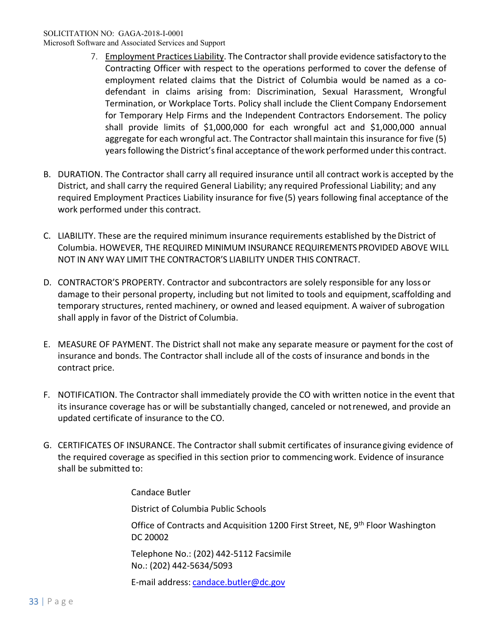Microsoft Software and Associated Services and Support

- 7. Employment Practices Liability. The Contractor shall provide evidence satisfactory to the Contracting Officer with respect to the operations performed to cover the defense of employment related claims that the District of Columbia would be named as a codefendant in claims arising from: Discrimination, Sexual Harassment, Wrongful Termination, or Workplace Torts. Policy shall include the Client Company Endorsement for Temporary Help Firms and the Independent Contractors Endorsement. The policy shall provide limits of \$1,000,000 for each wrongful act and \$1,000,000 annual aggregate for each wrongful act. The Contractor shall maintain this insurance for five (5) years following the District's final acceptance of the work performed under this contract.
- B. DURATION. The Contractor shall carry all required insurance until all contract work is accepted by the District, and shall carry the required General Liability; any required Professional Liability; and any required Employment Practices Liability insurance for five (5) years following final acceptance of the work performed under this contract.
- C. LIABILITY. These are the required minimum insurance requirements established by the District of Columbia. HOWEVER, THE REQUIRED MINIMUM INSURANCE REQUIREMENTS PROVIDED ABOVE WILL NOT IN ANY WAY LIMIT THE CONTRACTOR'S LIABILITY UNDER THIS CONTRACT.
- D. CONTRACTOR'S PROPERTY. Contractor and subcontractors are solely responsible for any loss or damage to their personal property, including but not limited to tools and equipment, scaffolding and temporary structures, rented machinery, or owned and leased equipment. A waiver of subrogation shall apply in favor of the District of Columbia.
- E. MEASURE OF PAYMENT. The District shall not make any separate measure or payment for the cost of insurance and bonds. The Contractor shall include all of the costs of insurance and bonds in the contract price.
- F. NOTIFICATION. The Contractor shall immediately provide the CO with written notice in the event that its insurance coverage has or will be substantially changed, canceled or not renewed, and provide an updated certificate of insurance to the CO.
- G. CERTIFICATES OF INSURANCE. The Contractor shall submit certificates of insurance giving evidence of the required coverage as specified in this section prior to commencing work. Evidence of insurance shall be submitted to:

Candace Butler

District of Columbia Public Schools

Office of Contracts and Acquisition 1200 First Street, NE, 9<sup>th</sup> Floor Washington DC 20002

 Telephone No.: (202) 442‐5112 Facsimile No.: (202) 442‐5634/5093

E-mail address: candace.butler@dc.gov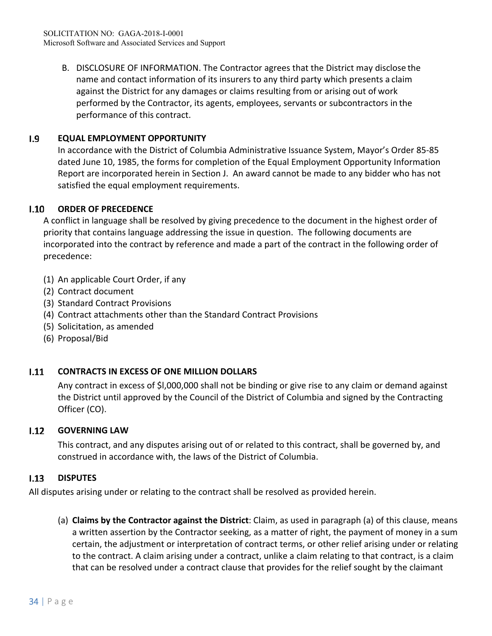B. DISCLOSURE OF INFORMATION. The Contractor agrees that the District may disclose the name and contact information of its insurers to any third party which presents a claim against the District for any damages or claims resulting from or arising out of work performed by the Contractor, its agents, employees, servants or subcontractors in the performance of this contract.

## $1.9$ **EQUAL EMPLOYMENT OPPORTUNITY**

In accordance with the District of Columbia Administrative Issuance System, Mayor's Order 85‐85 dated June 10, 1985, the forms for completion of the Equal Employment Opportunity Information Report are incorporated herein in Section J. An award cannot be made to any bidder who has not satisfied the equal employment requirements.

## $1.10$ **ORDER OF PRECEDENCE**

A conflict in language shall be resolved by giving precedence to the document in the highest order of priority that contains language addressing the issue in question. The following documents are incorporated into the contract by reference and made a part of the contract in the following order of precedence:

- (1) An applicable Court Order, if any
- (2) Contract document
- (3) Standard Contract Provisions
- (4) Contract attachments other than the Standard Contract Provisions
- (5) Solicitation, as amended
- (6) Proposal/Bid

## $1.11$ **CONTRACTS IN EXCESS OF ONE MILLION DOLLARS**

Any contract in excess of \$l,000,000 shall not be binding or give rise to any claim or demand against the District until approved by the Council of the District of Columbia and signed by the Contracting Officer (CO).

## $1.12$ **GOVERNING LAW**

This contract, and any disputes arising out of or related to this contract, shall be governed by, and construed in accordance with, the laws of the District of Columbia.

## $1.13$ **DISPUTES**

All disputes arising under or relating to the contract shall be resolved as provided herein.

(a) **Claims by the Contractor against the District**: Claim, as used in paragraph (a) of this clause, means a written assertion by the Contractor seeking, as a matter of right, the payment of money in a sum certain, the adjustment or interpretation of contract terms, or other relief arising under or relating to the contract. A claim arising under a contract, unlike a claim relating to that contract, is a claim that can be resolved under a contract clause that provides for the relief sought by the claimant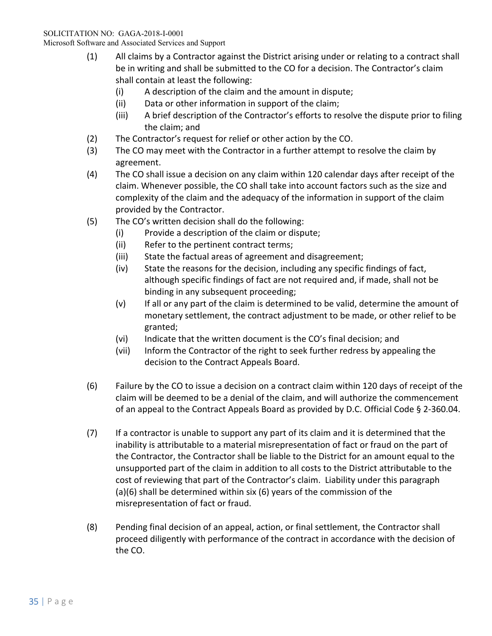Microsoft Software and Associated Services and Support

- (1) All claims by a Contractor against the District arising under or relating to a contract shall be in writing and shall be submitted to the CO for a decision. The Contractor's claim shall contain at least the following:
	- (i) A description of the claim and the amount in dispute;
	- (ii) Data or other information in support of the claim;
	- (iii) A brief description of the Contractor's efforts to resolve the dispute prior to filing the claim; and
- (2) The Contractor's request for relief or other action by the CO.
- (3) The CO may meet with the Contractor in a further attempt to resolve the claim by agreement.
- (4) The CO shall issue a decision on any claim within 120 calendar days after receipt of the claim. Whenever possible, the CO shall take into account factors such as the size and complexity of the claim and the adequacy of the information in support of the claim provided by the Contractor.
- (5) The CO's written decision shall do the following:
	- (i) Provide a description of the claim or dispute;
	- (ii) Refer to the pertinent contract terms;
	- (iii) State the factual areas of agreement and disagreement;
	- (iv) State the reasons for the decision, including any specific findings of fact, although specific findings of fact are not required and, if made, shall not be binding in any subsequent proceeding;
	- (v) If all or any part of the claim is determined to be valid, determine the amount of monetary settlement, the contract adjustment to be made, or other relief to be granted;
	- (vi) Indicate that the written document is the CO's final decision; and
	- (vii) Inform the Contractor of the right to seek further redress by appealing the decision to the Contract Appeals Board.
- (6) Failure by the CO to issue a decision on a contract claim within 120 days of receipt of the claim will be deemed to be a denial of the claim, and will authorize the commencement of an appeal to the Contract Appeals Board as provided by D.C. Official Code § 2‐360.04.
- (7) If a contractor is unable to support any part of its claim and it is determined that the inability is attributable to a material misrepresentation of fact or fraud on the part of the Contractor, the Contractor shall be liable to the District for an amount equal to the unsupported part of the claim in addition to all costs to the District attributable to the cost of reviewing that part of the Contractor's claim. Liability under this paragraph (a)(6) shall be determined within six (6) years of the commission of the misrepresentation of fact or fraud.
- (8) Pending final decision of an appeal, action, or final settlement, the Contractor shall proceed diligently with performance of the contract in accordance with the decision of the CO.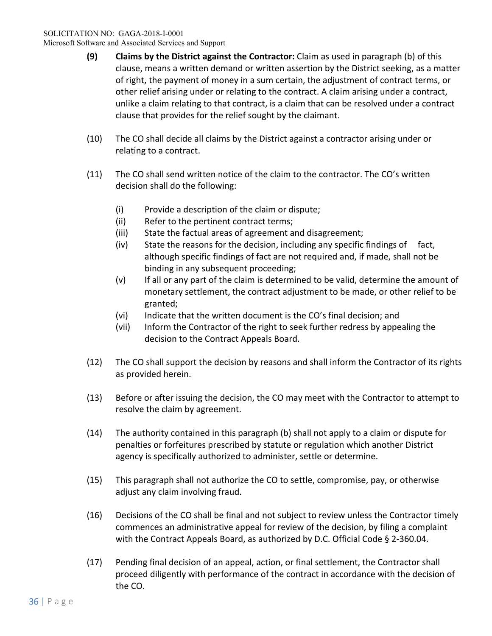- **(9) Claims by the District against the Contractor:** Claim as used in paragraph (b) of this clause, means a written demand or written assertion by the District seeking, as a matter of right, the payment of money in a sum certain, the adjustment of contract terms, or other relief arising under or relating to the contract. A claim arising under a contract, unlike a claim relating to that contract, is a claim that can be resolved under a contract clause that provides for the relief sought by the claimant.
- (10) The CO shall decide all claims by the District against a contractor arising under or relating to a contract.
- (11) The CO shall send written notice of the claim to the contractor. The CO's written decision shall do the following:
	- (i) Provide a description of the claim or dispute;
	- (ii) Refer to the pertinent contract terms;
	- (iii) State the factual areas of agreement and disagreement;
	- (iv) State the reasons for the decision, including any specific findings of fact, although specific findings of fact are not required and, if made, shall not be binding in any subsequent proceeding;
	- (v) If all or any part of the claim is determined to be valid, determine the amount of monetary settlement, the contract adjustment to be made, or other relief to be granted;
	- (vi) Indicate that the written document is the CO's final decision; and
	- (vii) Inform the Contractor of the right to seek further redress by appealing the decision to the Contract Appeals Board.
- (12) The CO shall support the decision by reasons and shall inform the Contractor of its rights as provided herein.
- (13) Before or after issuing the decision, the CO may meet with the Contractor to attempt to resolve the claim by agreement.
- (14) The authority contained in this paragraph (b) shall not apply to a claim or dispute for penalties or forfeitures prescribed by statute or regulation which another District agency is specifically authorized to administer, settle or determine.
- (15) This paragraph shall not authorize the CO to settle, compromise, pay, or otherwise adjust any claim involving fraud.
- (16) Decisions of the CO shall be final and not subject to review unless the Contractor timely commences an administrative appeal for review of the decision, by filing a complaint with the Contract Appeals Board, as authorized by D.C. Official Code § 2-360.04.
- (17) Pending final decision of an appeal, action, or final settlement, the Contractor shall proceed diligently with performance of the contract in accordance with the decision of the CO.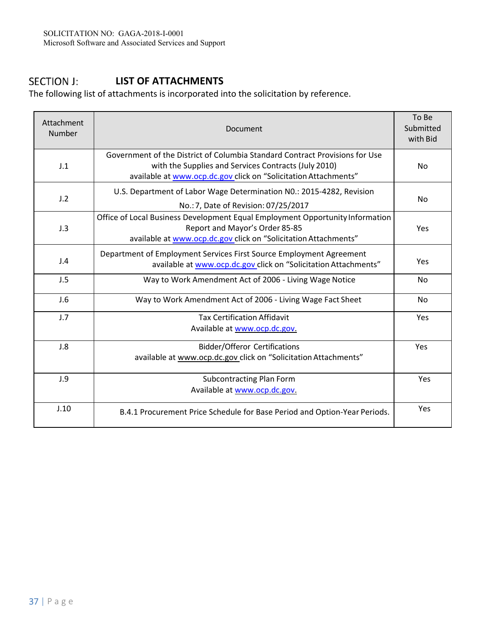## **SECTION J: LIST OF ATTACHMENTS**

The following list of attachments is incorporated into the solicitation by reference.

| Attachment<br><b>Number</b> | Document                                                                                                                                                                                               | To Be<br>Submitted<br>with Bid |
|-----------------------------|--------------------------------------------------------------------------------------------------------------------------------------------------------------------------------------------------------|--------------------------------|
| J.1                         | Government of the District of Columbia Standard Contract Provisions for Use<br>with the Supplies and Services Contracts (July 2010)<br>available at www.ocp.dc.gov click on "Solicitation Attachments" | <b>No</b>                      |
| J.2                         | U.S. Department of Labor Wage Determination N0.: 2015-4282, Revision<br>No.: 7, Date of Revision: 07/25/2017                                                                                           | No                             |
| J.3                         | Office of Local Business Development Equal Employment Opportunity Information<br>Report and Mayor's Order 85-85<br>available at www.ocp.dc.gov click on "Solicitation Attachments"                     | Yes                            |
| J.4                         | Department of Employment Services First Source Employment Agreement<br>available at www.ocp.dc.gov click on "Solicitation Attachments"                                                                 | Yes                            |
| J.5                         | Way to Work Amendment Act of 2006 - Living Wage Notice                                                                                                                                                 | No                             |
| J.6                         | Way to Work Amendment Act of 2006 - Living Wage Fact Sheet                                                                                                                                             | No                             |
| J.7                         | <b>Tax Certification Affidavit</b><br>Available at www.ocp.dc.gov.                                                                                                                                     | Yes                            |
| J.8                         | <b>Bidder/Offeror Certifications</b><br>available at www.ocp.dc.gov click on "Solicitation Attachments"                                                                                                | Yes                            |
| J.9                         | Subcontracting Plan Form<br>Available at www.ocp.dc.gov.                                                                                                                                               | Yes                            |
| J.10                        | B.4.1 Procurement Price Schedule for Base Period and Option-Year Periods.                                                                                                                              | Yes                            |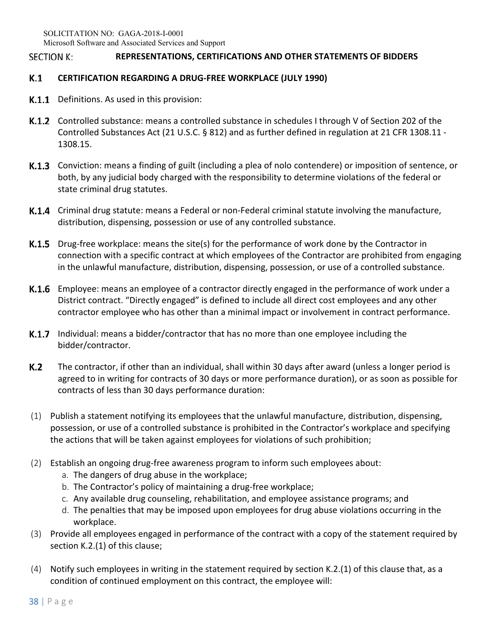### **SECTION K: REPRESENTATIONS, CERTIFICATIONS AND OTHER STATEMENTS OF BIDDERS**

### K.1 **CERTIFICATION REGARDING A DRUG‐FREE WORKPLACE (JULY 1990)**

- **K.1.1** Definitions. As used in this provision:
- **K.1.2** Controlled substance: means a controlled substance in schedules I through V of Section 202 of the Controlled Substances Act (21 U.S.C. § 812) and as further defined in regulation at 21 CFR 1308.11 ‐ 1308.15.
- K.1.3 Conviction: means a finding of guilt (including a plea of nolo contendere) or imposition of sentence, or both, by any judicial body charged with the responsibility to determine violations of the federal or state criminal drug statutes.
- K.1.4 Criminal drug statute: means a Federal or non-Federal criminal statute involving the manufacture, distribution, dispensing, possession or use of any controlled substance.
- **K.1.5** Drug-free workplace: means the site(s) for the performance of work done by the Contractor in connection with a specific contract at which employees of the Contractor are prohibited from engaging in the unlawful manufacture, distribution, dispensing, possession, or use of a controlled substance.
- K.1.6 Employee: means an employee of a contractor directly engaged in the performance of work under a District contract. "Directly engaged" is defined to include all direct cost employees and any other contractor employee who has other than a minimal impact or involvement in contract performance.
- **K.1.7** Individual: means a bidder/contractor that has no more than one employee including the bidder/contractor.
- K.2 The contractor, if other than an individual, shall within 30 days after award (unless a longer period is agreed to in writing for contracts of 30 days or more performance duration), or as soon as possible for contracts of less than 30 days performance duration:
- (1) Publish a statement notifying its employees that the unlawful manufacture, distribution, dispensing, possession, or use of a controlled substance is prohibited in the Contractor's workplace and specifying the actions that will be taken against employees for violations of such prohibition;
- (2) Establish an ongoing drug‐free awareness program to inform such employees about:
	- a. The dangers of drug abuse in the workplace;
	- b. The Contractor's policy of maintaining a drug-free workplace;
	- c. Any available drug counseling, rehabilitation, and employee assistance programs; and
	- d. The penalties that may be imposed upon employees for drug abuse violations occurring in the workplace.
- (3) Provide all employees engaged in performance of the contract with a copy of the statement required by section K.2.(1) of this clause;
- (4) Notify such employees in writing in the statement required by section K.2.(1) of this clause that, as a condition of continued employment on this contract, the employee will: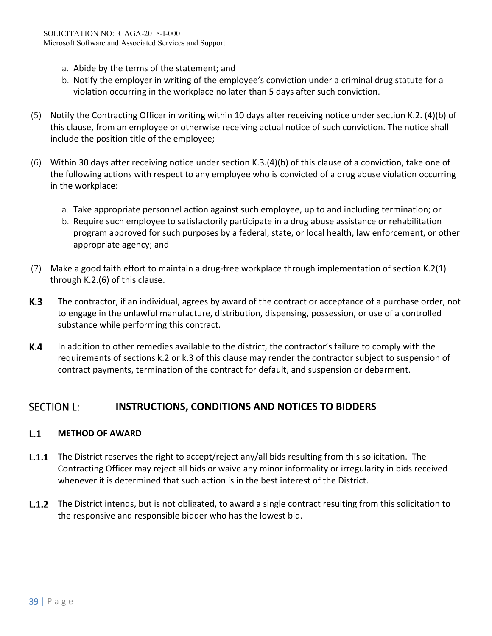- a. Abide by the terms of the statement; and
- b. Notify the employer in writing of the employee's conviction under a criminal drug statute for a violation occurring in the workplace no later than 5 days after such conviction.
- (5) Notify the Contracting Officer in writing within 10 days after receiving notice under section K.2. (4)(b) of this clause, from an employee or otherwise receiving actual notice of such conviction. The notice shall include the position title of the employee;
- (6) Within 30 days after receiving notice under section K.3.(4)(b) of this clause of a conviction, take one of the following actions with respect to any employee who is convicted of a drug abuse violation occurring in the workplace:
	- a. Take appropriate personnel action against such employee, up to and including termination; or
	- b. Require such employee to satisfactorily participate in a drug abuse assistance or rehabilitation program approved for such purposes by a federal, state, or local health, law enforcement, or other appropriate agency; and
- (7) Make a good faith effort to maintain a drug‐free workplace through implementation of section K.2(1) through K.2.(6) of this clause.
- K.3 The contractor, if an individual, agrees by award of the contract or acceptance of a purchase order, not to engage in the unlawful manufacture, distribution, dispensing, possession, or use of a controlled substance while performing this contract.
- K.4 In addition to other remedies available to the district, the contractor's failure to comply with the requirements of sections k.2 or k.3 of this clause may render the contractor subject to suspension of contract payments, termination of the contract for default, and suspension or debarment.

## **SECTION L: INSTRUCTIONS, CONDITIONS AND NOTICES TO BIDDERS**

### $L.1$ **METHOD OF AWARD**

- **L.1.1** The District reserves the right to accept/reject any/all bids resulting from this solicitation. The Contracting Officer may reject all bids or waive any minor informality or irregularity in bids received whenever it is determined that such action is in the best interest of the District.
- **L.1.2** The District intends, but is not obligated, to award a single contract resulting from this solicitation to the responsive and responsible bidder who has the lowest bid.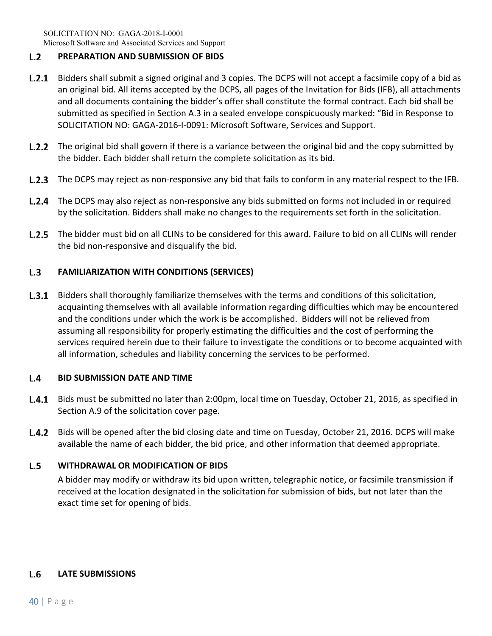## $L.2$ **PREPARATION AND SUBMISSION OF BIDS**

- **L.2.1** Bidders shall submit a signed original and 3 copies. The DCPS will not accept a facsimile copy of a bid as an original bid. All items accepted by the DCPS, all pages of the Invitation for Bids (IFB), all attachments and all documents containing the bidder's offer shall constitute the formal contract. Each bid shall be submitted as specified in Section A.3 in a sealed envelope conspicuously marked: "Bid in Response to SOLICITATION NO: GAGA‐2016‐I‐0091: Microsoft Software, Services and Support.
- **L.2.2** The original bid shall govern if there is a variance between the original bid and the copy submitted by the bidder. Each bidder shall return the complete solicitation as its bid.
- **L.2.3** The DCPS may reject as non-responsive any bid that fails to conform in any material respect to the IFB.
- L.2.4 The DCPS may also reject as non-responsive any bids submitted on forms not included in or required by the solicitation. Bidders shall make no changes to the requirements set forth in the solicitation.
- **L.2.5** The bidder must bid on all CLINs to be considered for this award. Failure to bid on all CLINs will render the bid non‐responsive and disqualify the bid.

## $L.3$ **FAMILIARIZATION WITH CONDITIONS (SERVICES)**

**L.3.1** Bidders shall thoroughly familiarize themselves with the terms and conditions of this solicitation, acquainting themselves with all available information regarding difficulties which may be encountered and the conditions under which the work is be accomplished. Bidders will not be relieved from assuming all responsibility for properly estimating the difficulties and the cost of performing the services required herein due to their failure to investigate the conditions or to become acquainted with all information, schedules and liability concerning the services to be performed.

### $L.4$ **BID SUBMISSION DATE AND TIME**

- **L.4.1** Bids must be submitted no later than 2:00pm, local time on Tuesday, October 21, 2016, as specified in Section A.9 of the solicitation cover page.
- L.4.2 Bids will be opened after the bid closing date and time on Tuesday, October 21, 2016. DCPS will make available the name of each bidder, the bid price, and other information that deemed appropriate.

## $L.5$ **WITHDRAWAL OR MODIFICATION OF BIDS**

A bidder may modify or withdraw its bid upon written, telegraphic notice, or facsimile transmission if received at the location designated in the solicitation for submission of bids, but not later than the exact time set for opening of bids.

## L.6 **LATE SUBMISSIONS**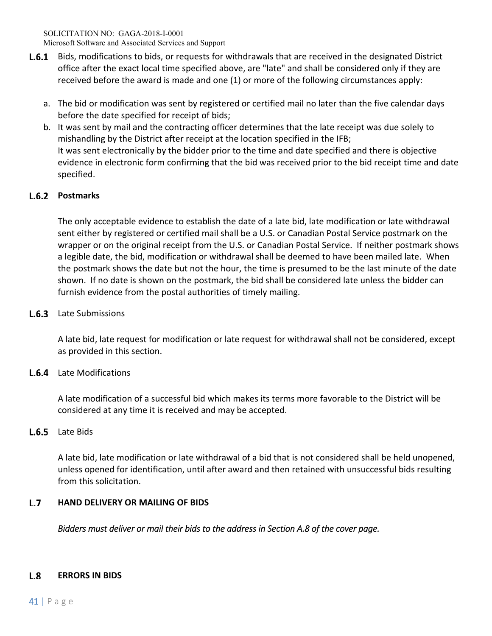- **L.6.1** Bids, modifications to bids, or requests for withdrawals that are received in the designated District office after the exact local time specified above, are "late" and shall be considered only if they are received before the award is made and one (1) or more of the following circumstances apply:
	- a. The bid or modification was sent by registered or certified mail no later than the five calendar days before the date specified for receipt of bids;
	- b. It was sent by mail and the contracting officer determines that the late receipt was due solely to mishandling by the District after receipt at the location specified in the IFB; It was sent electronically by the bidder prior to the time and date specified and there is objective evidence in electronic form confirming that the bid was received prior to the bid receipt time and date specified.

# L.6.2 Postmarks

The only acceptable evidence to establish the date of a late bid, late modification or late withdrawal sent either by registered or certified mail shall be a U.S. or Canadian Postal Service postmark on the wrapper or on the original receipt from the U.S. or Canadian Postal Service. If neither postmark shows a legible date, the bid, modification or withdrawal shall be deemed to have been mailed late. When the postmark shows the date but not the hour, the time is presumed to be the last minute of the date shown. If no date is shown on the postmark, the bid shall be considered late unless the bidder can furnish evidence from the postal authorities of timely mailing.

# L.6.3 Late Submissions

A late bid, late request for modification or late request for withdrawal shall not be considered, except as provided in this section.

# **L.6.4** Late Modifications

A late modification of a successful bid which makes its terms more favorable to the District will be considered at any time it is received and may be accepted.

## L.6.5 Late Bids

A late bid, late modification or late withdrawal of a bid that is not considered shall be held unopened, unless opened for identification, until after award and then retained with unsuccessful bids resulting from this solicitation.

## $L.7$ **HAND DELIVERY OR MAILING OF BIDS**

*Bidders must deliver or mail their bids to the address in Section A.8 of the cover page.* 

## $L.8$ **ERRORS IN BIDS**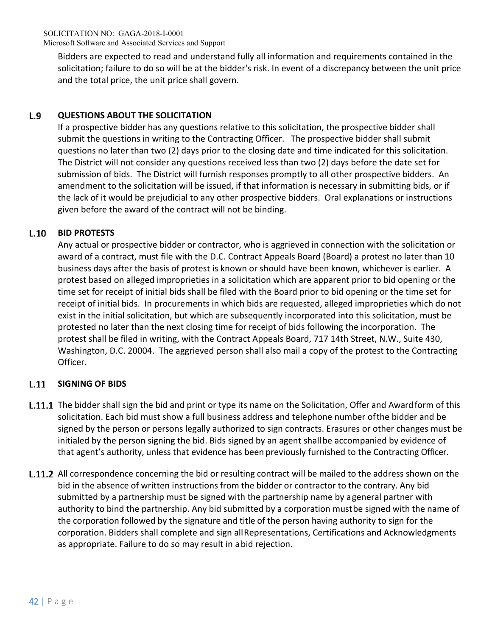Bidders are expected to read and understand fully all information and requirements contained in the solicitation; failure to do so will be at the bidder's risk. In event of a discrepancy between the unit price and the total price, the unit price shall govern.

## L.9 **QUESTIONS ABOUT THE SOLICITATION**

If a prospective bidder has any questions relative to this solicitation, the prospective bidder shall submit the questions in writing to the Contracting Officer. The prospective bidder shall submit questions no later than two (2) days prior to the closing date and time indicated for this solicitation. The District will not consider any questions received less than two (2) days before the date set for submission of bids. The District will furnish responses promptly to all other prospective bidders. An amendment to the solicitation will be issued, if that information is necessary in submitting bids, or if the lack of it would be prejudicial to any other prospective bidders. Oral explanations or instructions given before the award of the contract will not be binding.

## $L.10$ **BID PROTESTS**

Any actual or prospective bidder or contractor, who is aggrieved in connection with the solicitation or award of a contract, must file with the D.C. Contract Appeals Board (Board) a protest no later than 10 business days after the basis of protest is known or should have been known, whichever is earlier. A protest based on alleged improprieties in a solicitation which are apparent prior to bid opening or the time set for receipt of initial bids shall be filed with the Board prior to bid opening or the time set for receipt of initial bids. In procurements in which bids are requested, alleged improprieties which do not exist in the initial solicitation, but which are subsequently incorporated into this solicitation, must be protested no later than the next closing time for receipt of bids following the incorporation. The protest shall be filed in writing, with the Contract Appeals Board, 717 14th Street, N.W., Suite 430, Washington, D.C. 20004. The aggrieved person shall also mail a copy of the protest to the Contracting Officer.

## **SIGNING OF BIDS**   $L.11$

- **L.11.1** The bidder shall sign the bid and print or type its name on the Solicitation, Offer and Award form of this solicitation. Each bid must show a full business address and telephone number of the bidder and be signed by the person or persons legally authorized to sign contracts. Erasures or other changes must be initialed by the person signing the bid. Bids signed by an agent shall be accompanied by evidence of that agent's authority, unless that evidence has been previously furnished to the Contracting Officer.
- **L.11.2** All correspondence concerning the bid or resulting contract will be mailed to the address shown on the bid in the absence of written instructions from the bidder or contractor to the contrary. Any bid submitted by a partnership must be signed with the partnership name by a general partner with authority to bind the partnership. Any bid submitted by a corporation must be signed with the name of the corporation followed by the signature and title of the person having authority to sign for the corporation. Bidders shall complete and sign all Representations, Certifications and Acknowledgments as appropriate. Failure to do so may result in a bid rejection.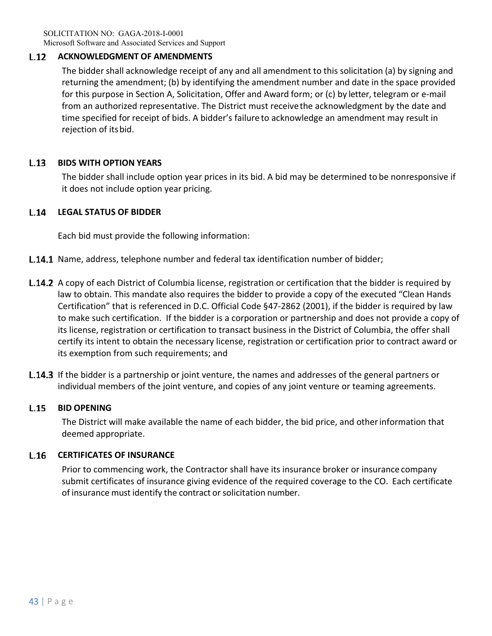SOLICITATION NO: GAGA-2018-I-0001 Microsoft Software and Associated Services and Support

### $L.12$ **ACKNOWLEDGMENT OF AMENDMENTS**

The bidder shall acknowledge receipt of any and all amendment to this solicitation (a) by signing and returning the amendment; (b) by identifying the amendment number and date in the space provided for this purpose in Section A, Solicitation, Offer and Award form; or (c) by letter, telegram or e‐mail from an authorized representative. The District must receive the acknowledgment by the date and time specified for receipt of bids. A bidder's failure to acknowledge an amendment may result in rejection of its bid.

## $L.13$ **BIDS WITH OPTION YEARS**

The bidder shall include option year prices in its bid. A bid may be determined to be nonresponsive if it does not include option year pricing.

### $L.14$ **LEGAL STATUS OF BIDDER**

Each bid must provide the following information:

- **L.14.1** Name, address, telephone number and federal tax identification number of bidder;
- **L.14.2** A copy of each District of Columbia license, registration or certification that the bidder is required by law to obtain. This mandate also requires the bidder to provide a copy of the executed "Clean Hands Certification" that is referenced in D.C. Official Code §47‐2862 (2001), if the bidder is required by law to make such certification. If the bidder is a corporation or partnership and does not provide a copy of its license, registration or certification to transact business in the District of Columbia, the offer shall certify its intent to obtain the necessary license, registration or certification prior to contract award or its exemption from such requirements; and
- **L.14.3** If the bidder is a partnership or joint venture, the names and addresses of the general partners or individual members of the joint venture, and copies of any joint venture or teaming agreements.

### $L.15$ **BID OPENING**

The District will make available the name of each bidder, the bid price, and other information that deemed appropriate.

### $L.16$ **CERTIFICATES OF INSURANCE**

Prior to commencing work, the Contractor shall have its insurance broker or insurance company submit certificates of insurance giving evidence of the required coverage to the CO. Each certificate of insurance must identify the contract or solicitation number.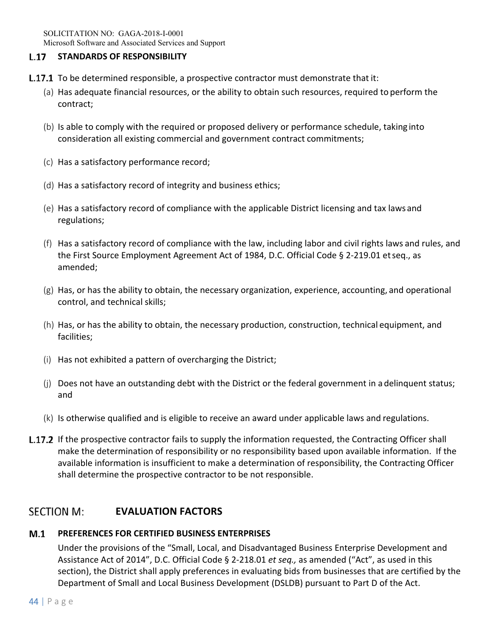## $L.17$ **STANDARDS OF RESPONSIBILITY**

- **L.17.1** To be determined responsible, a prospective contractor must demonstrate that it:
	- (a) Has adequate financial resources, or the ability to obtain such resources, required to perform the contract;
	- (b) Is able to comply with the required or proposed delivery or performance schedule, taking into consideration all existing commercial and government contract commitments;
	- (c) Has a satisfactory performance record;
	- (d) Has a satisfactory record of integrity and business ethics;
	- (e) Has a satisfactory record of compliance with the applicable District licensing and tax laws and regulations;
	- (f) Has a satisfactory record of compliance with the law, including labor and civil rights laws and rules, and the First Source Employment Agreement Act of 1984, D.C. Official Code § 2‐219.01 et seq., as amended;
	- (g) Has, or has the ability to obtain, the necessary organization, experience, accounting, and operational control, and technical skills;
	- (h) Has, or has the ability to obtain, the necessary production, construction, technical equipment, and facilities;
	- (i) Has not exhibited a pattern of overcharging the District;
	- (j) Does not have an outstanding debt with the District or the federal government in a delinquent status; and
	- (k) Is otherwise qualified and is eligible to receive an award under applicable laws and regulations.
- **L.17.2** If the prospective contractor fails to supply the information requested, the Contracting Officer shall make the determination of responsibility or no responsibility based upon available information. If the available information is insufficient to make a determination of responsibility, the Contracting Officer shall determine the prospective contractor to be not responsible.

## **SECTION M: EVALUATION FACTORS**

## $M.1$ **PREFERENCES FOR CERTIFIED BUSINESS ENTERPRISES**

Under the provisions of the "Small, Local, and Disadvantaged Business Enterprise Development and Assistance Act of 2014", D.C. Official Code § 2‐218.01 *et seq.,* as amended ("Act", as used in this section), the District shall apply preferences in evaluating bids from businesses that are certified by the Department of Small and Local Business Development (DSLDB) pursuant to Part D of the Act.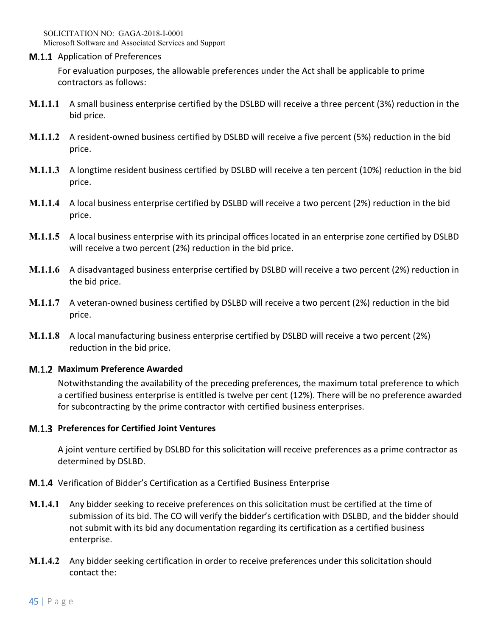SOLICITATION NO: GAGA-2018-I-0001 Microsoft Software and Associated Services and Support

**M.1.1** Application of Preferences

For evaluation purposes, the allowable preferences under the Act shall be applicable to prime contractors as follows:

- **M.1.1.1** A small business enterprise certified by the DSLBD will receive a three percent (3%) reduction in the bid price.
- **M.1.1.2** A resident-owned business certified by DSLBD will receive a five percent (5%) reduction in the bid price.
- **M.1.1.3** A longtime resident business certified by DSLBD will receive a ten percent (10%) reduction in the bid price.
- **M.1.1.4** A local business enterprise certified by DSLBD will receive a two percent (2%) reduction in the bid price.
- **M.1.1.5** A local business enterprise with its principal offices located in an enterprise zone certified by DSLBD will receive a two percent (2%) reduction in the bid price.
- **M.1.1.6** A disadvantaged business enterprise certified by DSLBD will receive a two percent (2%) reduction in the bid price.
- **M.1.1.7** A veteran-owned business certified by DSLBD will receive a two percent (2%) reduction in the bid price.
- **M.1.1.8** A local manufacturing business enterprise certified by DSLBD will receive a two percent (2%) reduction in the bid price.

## **Maximum Preference Awarded**

Notwithstanding the availability of the preceding preferences, the maximum total preference to which a certified business enterprise is entitled is twelve per cent (12%). There will be no preference awarded for subcontracting by the prime contractor with certified business enterprises.

## **M.1.3 Preferences for Certified Joint Ventures**

A joint venture certified by DSLBD for this solicitation will receive preferences as a prime contractor as determined by DSLBD.

- **M.1.4** Verification of Bidder's Certification as a Certified Business Enterprise
- **M.1.4.1** Any bidder seeking to receive preferences on this solicitation must be certified at the time of submission of its bid. The CO will verify the bidder's certification with DSLBD, and the bidder should not submit with its bid any documentation regarding its certification as a certified business enterprise.
- **M.1.4.2** Any bidder seeking certification in order to receive preferences under this solicitation should contact the: